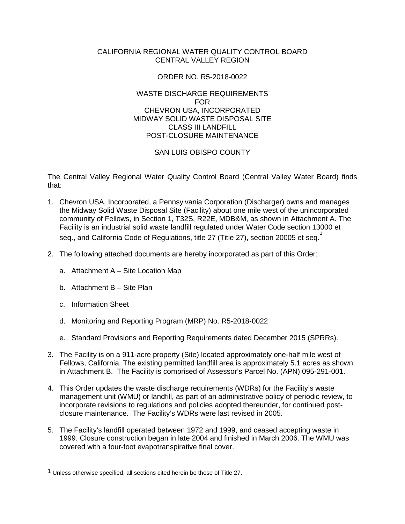#### CALIFORNIA REGIONAL WATER QUALITY CONTROL BOARD CENTRAL VALLEY REGION

## ORDER NO. R5-2018-0022

### WASTE DISCHARGE REQUIREMENTS FOR CHEVRON USA, INCORPORATED MIDWAY SOLID WASTE DISPOSAL SITE CLASS III LANDFILL POST-CLOSURE MAINTENANCE

## SAN LUIS OBISPO COUNTY

The Central Valley Regional Water Quality Control Board (Central Valley Water Board) finds that:

- 1. Chevron USA, Incorporated, a Pennsylvania Corporation (Discharger) owns and manages the Midway Solid Waste Disposal Site (Facility) about one mile west of the unincorporated community of Fellows, in Section 1, T32S, R22E, MDB&M, as shown in Attachment A. The Facility is an industrial solid waste landfill regulated under Water Code section 13000 et seg., and California Code of Regulations, title 27 (Title 27), section 20005 et seg.
- 2. The following attached documents are hereby incorporated as part of this Order:
	- a. Attachment A Site Location Map
	- b. Attachment B Site Plan
	- c. Information Sheet
	- d. Monitoring and Reporting Program (MRP) No. R5-2018-0022
	- e. Standard Provisions and Reporting Requirements dated December 2015 (SPRRs).
- 3. The Facility is on a 911-acre property (Site) located approximately one-half mile west of Fellows, California. The existing permitted landfill area is approximately 5.1 acres as shown in Attachment B. The Facility is comprised of Assessor's Parcel No. (APN) 095-291-001.
- 4. This Order updates the waste discharge requirements (WDRs) for the Facility's waste management unit (WMU) or landfill, as part of an administrative policy of periodic review, to incorporate revisions to regulations and policies adopted thereunder, for continued postclosure maintenance. The Facility's WDRs were last revised in 2005.
- 5. The Facility's landfill operated between 1972 and 1999, and ceased accepting waste in 1999. Closure construction began in late 2004 and finished in March 2006. The WMU was covered with a four-foot evapotranspirative final cover.

<span id="page-0-0"></span> <sup>1</sup> Unless otherwise specified, all sections cited herein be those of Title 27.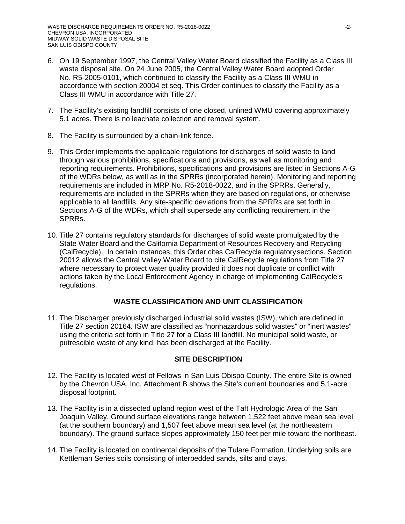- 6. On 19 September 1997, the Central Valley Water Board classified the Facility as a Class III waste disposal site. On 24 June 2005, the Central Valley Water Board adopted Order No. R5-2005-0101, which continued to classify the Facility as a Class III WMU in accordance with section 20004 et seq. This Order continues to classify the Facility as a Class III WMU in accordance with Title 27.
- 7. The Facility's existing landfill consists of one closed, unlined WMU covering approximately 5.1 acres. There is no leachate collection and removal system.
- 8. The Facility is surrounded by a chain-link fence.
- 9. This Order implements the applicable regulations for discharges of solid waste to land through various prohibitions, specifications and provisions, as well as monitoring and reporting requirements. Prohibitions, specifications and provisions are listed in Sections A-G of the WDRs below, as well as in the SPRRs (incorporated herein). Monitoring and reporting requirements are included in MRP No. R5-2018-0022, and in the SPRRs. Generally, requirements are included in the SPRRs when they are based on regulations, or otherwise applicable to all landfills. Any site-specific deviations from the SPRRs are set forth in Sections A-G of the WDRs, which shall supersede any conflicting requirement in the SPRRs.
- 10. Title 27 contains regulatory standards for discharges of solid waste promulgated by the State Water Board and the California Department of Resources Recovery and Recycling (CalRecycle). In certain instances, this Order cites CalRecycle regulatorysections. Section 20012 allows the Central Valley Water Board to cite CalRecycle regulations from Title 27 where necessary to protect water quality provided it does not duplicate or conflict with actions taken by the Local Enforcement Agency in charge of implementing CalRecycle's regulations.

# **WASTE CLASSIFICATION AND UNIT CLASSIFICATION**

11. The Discharger previously discharged industrial solid wastes (ISW), which are defined in Title 27 section 20164. ISW are classified as "nonhazardous solid wastes" or "inert wastes" using the criteria set forth in Title 27 for a Class III landfill. No municipal solid waste, or putrescible waste of any kind, has been discharged at the Facility.

## **SITE DESCRIPTION**

- 12. The Facility is located west of Fellows in San Luis Obispo County. The entire Site is owned by the Chevron USA, Inc. Attachment B shows the Site's current boundaries and 5.1-acre disposal footprint.
- 13. The Facility is in a dissected upland region west of the Taft Hydrologic Area of the San Joaquin Valley. Ground surface elevations range between 1,522 feet above mean sea level (at the southern boundary) and 1,507 feet above mean sea level (at the northeastern boundary). The ground surface slopes approximately 150 feet per mile toward the northeast.
- 14. The Facility is located on continental deposits of the Tulare Formation. Underlying soils are Kettleman Series soils consisting of interbedded sands, silts and clays.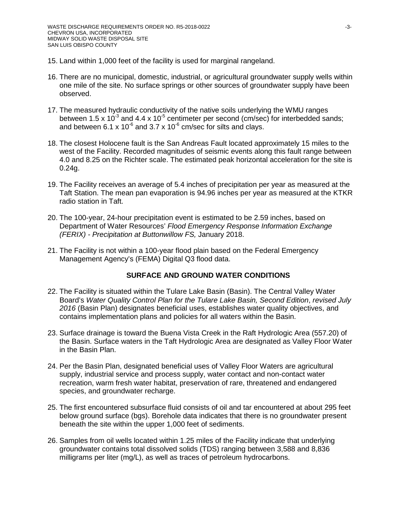- 15. Land within 1,000 feet of the facility is used for marginal rangeland.
- 16. There are no municipal, domestic, industrial, or agricultural groundwater supply wells within one mile of the site. No surface springs or other sources of groundwater supply have been observed.
- 17. The measured hydraulic conductivity of the native soils underlying the WMU ranges between 1.5 x  $10^{-3}$  and 4.4 x  $10^{-5}$  centimeter per second (cm/sec) for interbedded sands; and between 6.1 x 10<sup>-6</sup> and 3.7 x 10<sup>-6</sup> cm/sec for silts and clays.
- 18. The closest Holocene fault is the San Andreas Fault located approximately 15 miles to the west of the Facility. Recorded magnitudes of seismic events along this fault range between 4.0 and 8.25 on the Richter scale. The estimated peak horizontal acceleration for the site is 0.24g.
- 19. The Facility receives an average of 5.4 inches of precipitation per year as measured at the Taft Station. The mean pan evaporation is 94.96 inches per year as measured at the KTKR radio station in Taft.
- 20. The 100-year, 24-hour precipitation event is estimated to be 2.59 inches, based on Department of Water Resources' *Flood Emergency Response Information Exchange (FERIX) - Precipitation at Buttonwillow FS,* January 2018.
- 21. The Facility is not within a 100-year flood plain based on the Federal Emergency Management Agency's (FEMA) Digital Q3 flood data.

## **SURFACE AND GROUND WATER CONDITIONS**

- 22. The Facility is situated within the Tulare Lake Basin (Basin). The Central Valley Water Board's *Water Quality Control Plan for the Tulare Lake Basin, Second Edition*, *revised July 2016* (Basin Plan) designates beneficial uses, establishes water quality objectives, and contains implementation plans and policies for all waters within the Basin.
- 23. Surface drainage is toward the Buena Vista Creek in the Raft Hydrologic Area (557.20) of the Basin. Surface waters in the Taft Hydrologic Area are designated as Valley Floor Water in the Basin Plan.
- 24. Per the Basin Plan, designated beneficial uses of Valley Floor Waters are agricultural supply, industrial service and process supply, water contact and non-contact water recreation, warm fresh water habitat, preservation of rare, threatened and endangered species, and groundwater recharge.
- 25. The first encountered subsurface fluid consists of oil and tar encountered at about 295 feet below ground surface (bgs). Borehole data indicates that there is no groundwater present beneath the site within the upper 1,000 feet of sediments.
- 26. Samples from oil wells located within 1.25 miles of the Facility indicate that underlying groundwater contains total dissolved solids (TDS) ranging between 3,588 and 8,836 milligrams per liter (mg/L), as well as traces of petroleum hydrocarbons.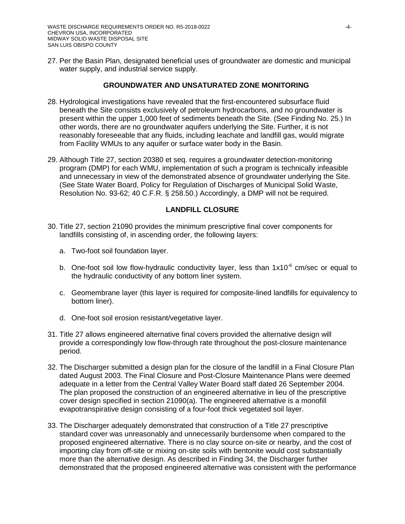27. Per the Basin Plan, designated beneficial uses of groundwater are domestic and municipal water supply, and industrial service supply.

# **GROUNDWATER AND UNSATURATED ZONE MONITORING**

- 28. Hydrological investigations have revealed that the first-encountered subsurface fluid beneath the Site consists exclusively of petroleum hydrocarbons, and no groundwater is present within the upper 1,000 feet of sediments beneath the Site. (See Finding No. 25.) In other words, there are no groundwater aquifers underlying the Site. Further, it is not reasonably foreseeable that any fluids, including leachate and landfill gas, would migrate from Facility WMUs to any aquifer or surface water body in the Basin.
- 29. Although Title 27, section 20380 et seq. requires a groundwater detection-monitoring program (DMP) for each WMU, implementation of such a program is technically infeasible and unnecessary in view of the demonstrated absence of groundwater underlying the Site. (See State Water Board, Policy for Regulation of Discharges of Municipal Solid Waste, Resolution No. 93-62; 40 C.F.R. § 258.50.) Accordingly, a DMP will not be required.

## **LANDFILL CLOSURE**

- 30. Title 27, section 21090 provides the minimum prescriptive final cover components for landfills consisting of, in ascending order, the following layers:
	- a. Two-foot soil foundation layer.
	- b. One-foot soil low flow-hydraulic conductivity layer, less than  $1x10^{-6}$  cm/sec or equal to the hydraulic conductivity of any bottom liner system.
	- c. Geomembrane layer (this layer is required for composite-lined landfills for equivalency to bottom liner).
	- d. One-foot soil erosion resistant/vegetative layer.
- 31. Title 27 allows engineered alternative final covers provided the alternative design will provide a correspondingly low flow-through rate throughout the post-closure maintenance period.
- 32. The Discharger submitted a design plan for the closure of the landfill in a Final Closure Plan dated August 2003. The Final Closure and Post-Closure Maintenance Plans were deemed adequate in a letter from the Central Valley Water Board staff dated 26 September 2004. The plan proposed the construction of an engineered alternative in lieu of the prescriptive cover design specified in section 21090(a). The engineered alternative is a monofill evapotranspirative design consisting of a four-foot thick vegetated soil layer.
- 33. The Discharger adequately demonstrated that construction of a Title 27 prescriptive standard cover was unreasonably and unnecessarily burdensome when compared to the proposed engineered alternative. There is no clay source on-site or nearby, and the cost of importing clay from off-site or mixing on-site soils with bentonite would cost substantially more than the alternative design. As described in Finding 34, the Discharger further demonstrated that the proposed engineered alternative was consistent with the performance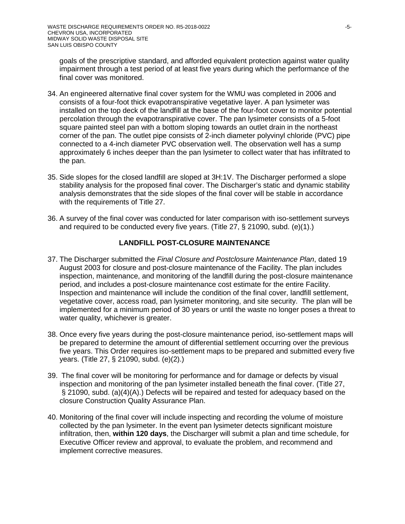goals of the prescriptive standard, and afforded equivalent protection against water quality impairment through a test period of at least five years during which the performance of the final cover was monitored.

- 34. An engineered alternative final cover system for the WMU was completed in 2006 and consists of a four-foot thick evapotranspirative vegetative layer. A pan lysimeter was installed on the top deck of the landfill at the base of the four-foot cover to monitor potential percolation through the evapotranspirative cover. The pan lysimeter consists of a 5-foot square painted steel pan with a bottom sloping towards an outlet drain in the northeast corner of the pan. The outlet pipe consists of 2-inch diameter polyvinyl chloride (PVC) pipe connected to a 4-inch diameter PVC observation well. The observation well has a sump approximately 6 inches deeper than the pan lysimeter to collect water that has infiltrated to the pan.
- 35. Side slopes for the closed landfill are sloped at 3H:1V. The Discharger performed a slope stability analysis for the proposed final cover. The Discharger's static and dynamic stability analysis demonstrates that the side slopes of the final cover will be stable in accordance with the requirements of Title 27.
- 36. A survey of the final cover was conducted for later comparison with iso-settlement surveys and required to be conducted every five years. (Title 27, § 21090, subd. (e)(1).)

## **LANDFILL POST-CLOSURE MAINTENANCE**

- 37. The Discharger submitted the *Final Closure and Postclosure Maintenance Plan*, dated 19 August 2003 for closure and post-closure maintenance of the Facility. The plan includes inspection, maintenance, and monitoring of the landfill during the post-closure maintenance period, and includes a post-closure maintenance cost estimate for the entire Facility. Inspection and maintenance will include the condition of the final cover, landfill settlement, vegetative cover, access road, pan lysimeter monitoring, and site security. The plan will be implemented for a minimum period of 30 years or until the waste no longer poses a threat to water quality, whichever is greater.
- 38. Once every five years during the post-closure maintenance period, iso-settlement maps will be prepared to determine the amount of differential settlement occurring over the previous five years. This Order requires iso-settlement maps to be prepared and submitted every five years. (Title 27, § 21090, subd. (e)(2).)
- 39. The final cover will be monitoring for performance and for damage or defects by visual inspection and monitoring of the pan lysimeter installed beneath the final cover. (Title 27, § 21090, subd. (a)(4)(A).) Defects will be repaired and tested for adequacy based on the closure Construction Quality Assurance Plan.
- 40. Monitoring of the final cover will include inspecting and recording the volume of moisture collected by the pan lysimeter. In the event pan lysimeter detects significant moisture infiltration, then, **within 120 days**, the Discharger will submit a plan and time schedule, for Executive Officer review and approval, to evaluate the problem, and recommend and implement corrective measures.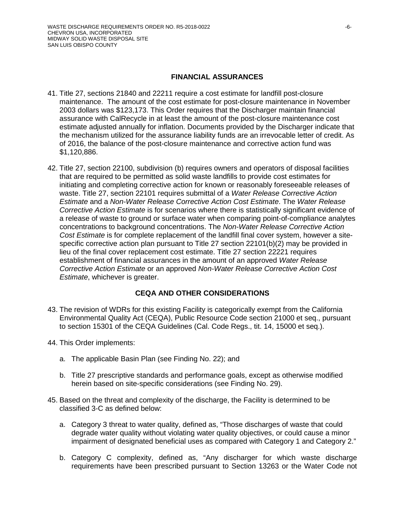#### **FINANCIAL ASSURANCES**

- 41. Title 27, sections 21840 and 22211 require a cost estimate for landfill post-closure maintenance. The amount of the cost estimate for post-closure maintenance in November 2003 dollars was \$123,173. This Order requires that the Discharger maintain financial assurance with CalRecycle in at least the amount of the post-closure maintenance cost estimate adjusted annually for inflation. Documents provided by the Discharger indicate that the mechanism utilized for the assurance liability funds are an irrevocable letter of credit. As of 2016, the balance of the post-closure maintenance and corrective action fund was \$1,120,886.
- 42. Title 27, section 22100, subdivision (b) requires owners and operators of disposal facilities that are required to be permitted as solid waste landfills to provide cost estimates for initiating and completing corrective action for known or reasonably foreseeable releases of waste. Title 27, section 22101 requires submittal of a *Water Release Corrective Action Estimate* and a *Non-Water Release Corrective Action Cost Estimate*. The *Water Release Corrective Action Estimate* is for scenarios where there is statistically significant evidence of a release of waste to ground or surface water when comparing point-of-compliance analytes concentrations to background concentrations. The *Non-Water Release Corrective Action Cost Estimate* is for complete replacement of the landfill final cover system, however a sitespecific corrective action plan pursuant to Title 27 section 22101(b)(2) may be provided in lieu of the final cover replacement cost estimate. Title 27 section 22221 requires establishment of financial assurances in the amount of an approved *Water Release Corrective Action Estimate* or an approved *Non-Water Release Corrective Action Cost Estimate*, whichever is greater.

## **CEQA AND OTHER CONSIDERATIONS**

- 43. The revision of WDRs for this existing Facility is categorically exempt from the California Environmental Quality Act (CEQA), Public Resource Code section 21000 et seq., pursuant to section 15301 of the CEQA Guidelines (Cal. Code Regs., tit. 14, 15000 et seq.).
- 44. This Order implements:
	- a. The applicable Basin Plan (see Finding No. 22); and
	- b. Title 27 prescriptive standards and performance goals, except as otherwise modified herein based on site-specific considerations (see Finding No. 29).
- 45. Based on the threat and complexity of the discharge, the Facility is determined to be classified 3-C as defined below:
	- a. Category 3 threat to water quality, defined as, "Those discharges of waste that could degrade water quality without violating water quality objectives, or could cause a minor impairment of designated beneficial uses as compared with Category 1 and Category 2."
	- b. Category C complexity, defined as, "Any discharger for which waste discharge requirements have been prescribed pursuant to Section 13263 or the Water Code not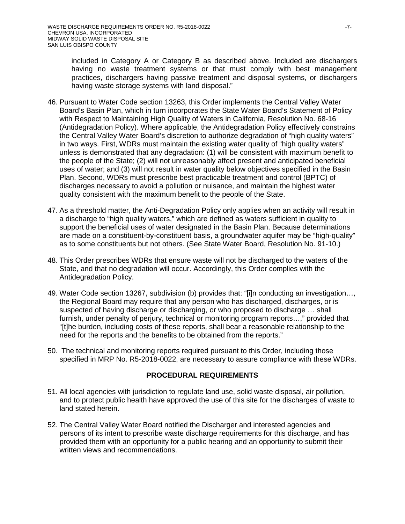included in Category A or Category B as described above. Included are dischargers having no waste treatment systems or that must comply with best management practices, dischargers having passive treatment and disposal systems, or dischargers having waste storage systems with land disposal."

- 46. Pursuant to Water Code section 13263, this Order implements the Central Valley Water Board's Basin Plan, which in turn incorporates the State Water Board's Statement of Policy with Respect to Maintaining High Quality of Waters in California, Resolution No. 68-16 (Antidegradation Policy). Where applicable, the Antidegradation Policy effectively constrains the Central Valley Water Board's discretion to authorize degradation of "high quality waters" in two ways. First, WDRs must maintain the existing water quality of "high quality waters" unless is demonstrated that any degradation: (1) will be consistent with maximum benefit to the people of the State; (2) will not unreasonably affect present and anticipated beneficial uses of water; and (3) will not result in water quality below objectives specified in the Basin Plan. Second, WDRs must prescribe best practicable treatment and control (BPTC) of discharges necessary to avoid a pollution or nuisance, and maintain the highest water quality consistent with the maximum benefit to the people of the State.
- 47. As a threshold matter, the Anti-Degradation Policy only applies when an activity will result in a discharge to "high quality waters," which are defined as waters sufficient in quality to support the beneficial uses of water designated in the Basin Plan. Because determinations are made on a constituent-by-constituent basis, a groundwater aquifer may be "high-quality" as to some constituents but not others. (See State Water Board, Resolution No. 91-10.)
- 48. This Order prescribes WDRs that ensure waste will not be discharged to the waters of the State, and that no degradation will occur. Accordingly, this Order complies with the Antidegradation Policy.
- 49. Water Code section 13267, subdivision (b) provides that: "[i]n conducting an investigation…, the Regional Board may require that any person who has discharged, discharges, or is suspected of having discharge or discharging, or who proposed to discharge … shall furnish, under penalty of perjury, technical or monitoring program reports…," provided that "[t]he burden, including costs of these reports, shall bear a reasonable relationship to the need for the reports and the benefits to be obtained from the reports."
- 50. The technical and monitoring reports required pursuant to this Order, including those specified in MRP No. R5-2018-0022, are necessary to assure compliance with these WDRs.

#### **PROCEDURAL REQUIREMENTS**

- 51. All local agencies with jurisdiction to regulate land use, solid waste disposal, air pollution, and to protect public health have approved the use of this site for the discharges of waste to land stated herein.
- 52. The Central Valley Water Board notified the Discharger and interested agencies and persons of its intent to prescribe waste discharge requirements for this discharge, and has provided them with an opportunity for a public hearing and an opportunity to submit their written views and recommendations.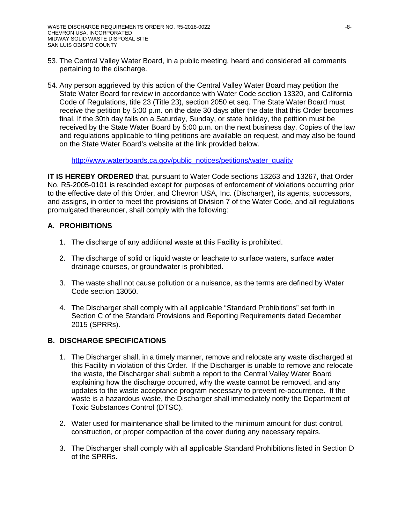- 53. The Central Valley Water Board, in a public meeting, heard and considered all comments pertaining to the discharge.
- 54. Any person aggrieved by this action of the Central Valley Water Board may petition the State Water Board for review in accordance with Water Code section 13320, and California Code of Regulations, title 23 (Title 23), section 2050 et seq. The State Water Board must receive the petition by 5:00 p.m. on the date 30 days after the date that this Order becomes final. If the 30th day falls on a Saturday, Sunday, or state holiday, the petition must be received by the State Water Board by 5:00 p.m. on the next business day. Copies of the law and regulations applicable to filing petitions are available on request, and may also be found on the State Water Board's website at the link provided below.

[http://www.waterboards.ca.gov/public\\_notices/petitions/water\\_quality](http://www.waterboards.ca.gov/public_notices/petitions/water_quality)

**IT IS HEREBY ORDERED** that, pursuant to Water Code sections 13263 and 13267, that Order No. R5-2005-0101 is rescinded except for purposes of enforcement of violations occurring prior to the effective date of this Order, and Chevron USA, Inc. (Discharger), its agents, successors, and assigns, in order to meet the provisions of Division 7 of the Water Code, and all regulations promulgated thereunder, shall comply with the following:

### **A. PROHIBITIONS**

- 1. The discharge of any additional waste at this Facility is prohibited.
- 2. The discharge of solid or liquid waste or leachate to surface waters, surface water drainage courses, or groundwater is prohibited.
- 3. The waste shall not cause pollution or a nuisance, as the terms are defined by Water Code section 13050.
- 4. The Discharger shall comply with all applicable "Standard Prohibitions" set forth in Section C of the Standard Provisions and Reporting Requirements dated December 2015 (SPRRs).

## **B. DISCHARGE SPECIFICATIONS**

- 1. The Discharger shall, in a timely manner, remove and relocate any waste discharged at this Facility in violation of this Order. If the Discharger is unable to remove and relocate the waste, the Discharger shall submit a report to the Central Valley Water Board explaining how the discharge occurred, why the waste cannot be removed, and any updates to the waste acceptance program necessary to prevent re-occurrence. If the waste is a hazardous waste, the Discharger shall immediately notify the Department of Toxic Substances Control (DTSC).
- 2. Water used for maintenance shall be limited to the minimum amount for dust control, construction, or proper compaction of the cover during any necessary repairs.
- 3. The Discharger shall comply with all applicable Standard Prohibitions listed in Section D of the SPRRs.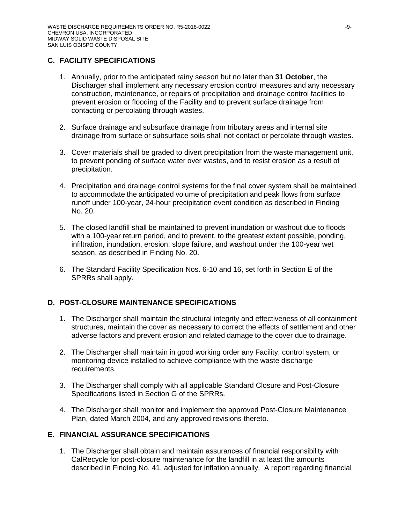# **C. FACILITY SPECIFICATIONS**

- 1. Annually, prior to the anticipated rainy season but no later than **31 October**, the Discharger shall implement any necessary erosion control measures and any necessary construction, maintenance, or repairs of precipitation and drainage control facilities to prevent erosion or flooding of the Facility and to prevent surface drainage from contacting or percolating through wastes.
- 2. Surface drainage and subsurface drainage from tributary areas and internal site drainage from surface or subsurface soils shall not contact or percolate through wastes.
- 3. Cover materials shall be graded to divert precipitation from the waste management unit, to prevent ponding of surface water over wastes, and to resist erosion as a result of precipitation.
- 4. Precipitation and drainage control systems for the final cover system shall be maintained to accommodate the anticipated volume of precipitation and peak flows from surface runoff under 100-year, 24-hour precipitation event condition as described in Finding No. 20.
- 5. The closed landfill shall be maintained to prevent inundation or washout due to floods with a 100-year return period, and to prevent, to the greatest extent possible, ponding, infiltration, inundation, erosion, slope failure, and washout under the 100-year wet season, as described in Finding No. 20.
- 6. The Standard Facility Specification Nos. 6-10 and 16, set forth in Section E of the SPRRs shall apply.

# **D. POST-CLOSURE MAINTENANCE SPECIFICATIONS**

- 1. The Discharger shall maintain the structural integrity and effectiveness of all containment structures, maintain the cover as necessary to correct the effects of settlement and other adverse factors and prevent erosion and related damage to the cover due to drainage.
- 2. The Discharger shall maintain in good working order any Facility, control system, or monitoring device installed to achieve compliance with the waste discharge requirements.
- 3. The Discharger shall comply with all applicable Standard Closure and Post-Closure Specifications listed in Section G of the SPRRs.
- 4. The Discharger shall monitor and implement the approved Post-Closure Maintenance Plan, dated March 2004, and any approved revisions thereto.

# **E. FINANCIAL ASSURANCE SPECIFICATIONS**

1. The Discharger shall obtain and maintain assurances of financial responsibility with CalRecycle for post-closure maintenance for the landfill in at least the amounts described in Finding No. 41, adjusted for inflation annually. A report regarding financial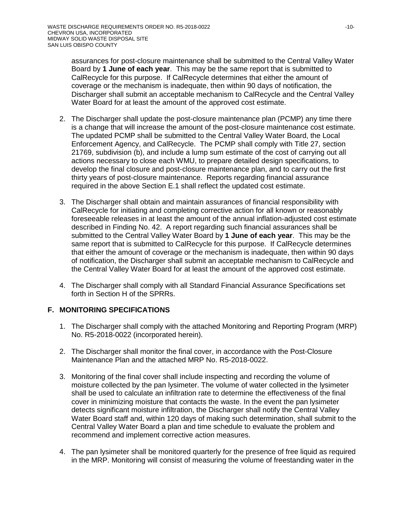assurances for post-closure maintenance shall be submitted to the Central Valley Water Board by **1 June of each year**. This may be the same report that is submitted to CalRecycle for this purpose. If CalRecycle determines that either the amount of coverage or the mechanism is inadequate, then within 90 days of notification, the Discharger shall submit an acceptable mechanism to CalRecycle and the Central Valley Water Board for at least the amount of the approved cost estimate.

- 2. The Discharger shall update the post-closure maintenance plan (PCMP) any time there is a change that will increase the amount of the post-closure maintenance cost estimate. The updated PCMP shall be submitted to the Central Valley Water Board, the Local Enforcement Agency, and CalRecycle. The PCMP shall comply with Title 27, section 21769, subdivision (b), and include a lump sum estimate of the cost of carrying out all actions necessary to close each WMU, to prepare detailed design specifications, to develop the final closure and post-closure maintenance plan, and to carry out the first thirty years of post-closure maintenance. Reports regarding financial assurance required in the above Section E.1 shall reflect the updated cost estimate.
- 3. The Discharger shall obtain and maintain assurances of financial responsibility with CalRecycle for initiating and completing corrective action for all known or reasonably foreseeable releases in at least the amount of the annual inflation-adjusted cost estimate described in Finding No. 42. A report regarding such financial assurances shall be submitted to the Central Valley Water Board by **1 June of each year**. This may be the same report that is submitted to CalRecycle for this purpose. If CalRecycle determines that either the amount of coverage or the mechanism is inadequate, then within 90 days of notification, the Discharger shall submit an acceptable mechanism to CalRecycle and the Central Valley Water Board for at least the amount of the approved cost estimate.
- 4. The Discharger shall comply with all Standard Financial Assurance Specifications set forth in Section H of the SPRRs.

## **F. MONITORING SPECIFICATIONS**

- 1. The Discharger shall comply with the attached Monitoring and Reporting Program (MRP) No. R5-2018-0022 (incorporated herein).
- 2. The Discharger shall monitor the final cover, in accordance with the Post-Closure Maintenance Plan and the attached MRP No. R5-2018-0022.
- 3. Monitoring of the final cover shall include inspecting and recording the volume of moisture collected by the pan lysimeter. The volume of water collected in the lysimeter shall be used to calculate an infiltration rate to determine the effectiveness of the final cover in minimizing moisture that contacts the waste. In the event the pan lysimeter detects significant moisture infiltration, the Discharger shall notify the Central Valley Water Board staff and, within 120 days of making such determination, shall submit to the Central Valley Water Board a plan and time schedule to evaluate the problem and recommend and implement corrective action measures.
- 4. The pan lysimeter shall be monitored quarterly for the presence of free liquid as required in the MRP. Monitoring will consist of measuring the volume of freestanding water in the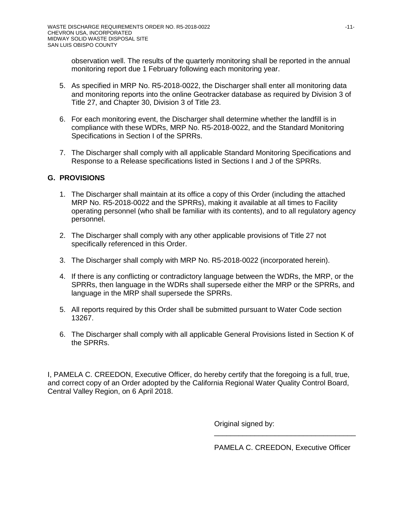observation well. The results of the quarterly monitoring shall be reported in the annual monitoring report due 1 February following each monitoring year.

- 5. As specified in MRP No. R5-2018-0022, the Discharger shall enter all monitoring data and monitoring reports into the online Geotracker database as required by Division 3 of Title 27, and Chapter 30, Division 3 of Title 23.
- 6. For each monitoring event, the Discharger shall determine whether the landfill is in compliance with these WDRs, MRP No. R5-2018-0022, and the Standard Monitoring Specifications in Section I of the SPRRs.
- 7. The Discharger shall comply with all applicable Standard Monitoring Specifications and Response to a Release specifications listed in Sections I and J of the SPRRs.

## **G. PROVISIONS**

- 1. The Discharger shall maintain at its office a copy of this Order (including the attached MRP No. R5-2018-0022 and the SPRRs), making it available at all times to Facility operating personnel (who shall be familiar with its contents), and to all regulatory agency personnel.
- 2. The Discharger shall comply with any other applicable provisions of Title 27 not specifically referenced in this Order.
- 3. The Discharger shall comply with MRP No. R5-2018-0022 (incorporated herein).
- 4. If there is any conflicting or contradictory language between the WDRs, the MRP, or the SPRRs, then language in the WDRs shall supersede either the MRP or the SPRRs, and language in the MRP shall supersede the SPRRs.
- 5. All reports required by this Order shall be submitted pursuant to Water Code section 13267.
- 6. The Discharger shall comply with all applicable General Provisions listed in Section K of the SPRRs.

I, PAMELA C. CREEDON, Executive Officer, do hereby certify that the foregoing is a full, true, and correct copy of an Order adopted by the California Regional Water Quality Control Board, Central Valley Region, on 6 April 2018.

Original signed by:

PAMELA C. CREEDON, Executive Officer

\_\_\_\_\_\_\_\_\_\_\_\_\_\_\_\_\_\_\_\_\_\_\_\_\_\_\_\_\_\_\_\_\_\_\_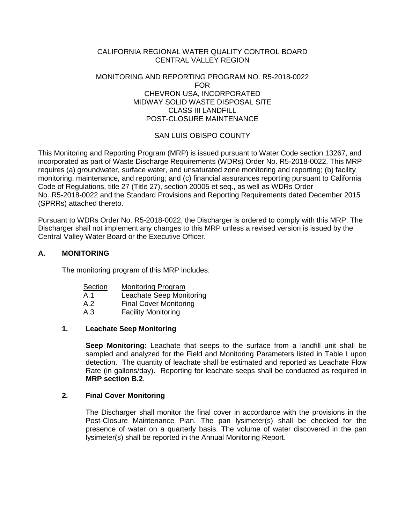#### CALIFORNIA REGIONAL WATER QUALITY CONTROL BOARD CENTRAL VALLEY REGION

#### MONITORING AND REPORTING PROGRAM NO. R5-2018-0022 FOR CHEVRON USA, INCORPORATED MIDWAY SOLID WASTE DISPOSAL SITE CLASS III LANDFILL POST-CLOSURE MAINTENANCE

# SAN LUIS OBISPO COUNTY

This Monitoring and Reporting Program (MRP) is issued pursuant to Water Code section 13267, and incorporated as part of Waste Discharge Requirements (WDRs) Order No. R5-2018-0022. This MRP requires (a) groundwater, surface water, and unsaturated zone monitoring and reporting; (b) facility monitoring, maintenance, and reporting; and (c) financial assurances reporting pursuant to California Code of Regulations, title 27 (Title 27), section 20005 et seq., as well as WDRs Order No. R5-2018-0022 and the Standard Provisions and Reporting Requirements dated December 2015 (SPRRs) attached thereto.

Pursuant to WDRs Order No. R5-2018-0022, the Discharger is ordered to comply with this MRP. The Discharger shall not implement any changes to this MRP unless a revised version is issued by the Central Valley Water Board or the Executive Officer.

## **A. MONITORING**

The monitoring program of this MRP includes:

| Section | <b>Monitoring Program</b>     |
|---------|-------------------------------|
| A.1     | Leachate Seep Monitoring      |
| A.2     | <b>Final Cover Monitoring</b> |
| A.3     | <b>Facility Monitoring</b>    |

## **1. Leachate Seep Monitoring**

**Seep Monitoring:** Leachate that seeps to the surface from a landfill unit shall be sampled and analyzed for the Field and Monitoring Parameters listed in Table I upon detection. The quantity of leachate shall be estimated and reported as Leachate Flow Rate (in gallons/day). Reporting for leachate seeps shall be conducted as required in **MRP section B.2**.

## **2. Final Cover Monitoring**

The Discharger shall monitor the final cover in accordance with the provisions in the Post-Closure Maintenance Plan. The pan lysimeter(s) shall be checked for the presence of water on a quarterly basis. The volume of water discovered in the pan lysimeter(s) shall be reported in the Annual Monitoring Report.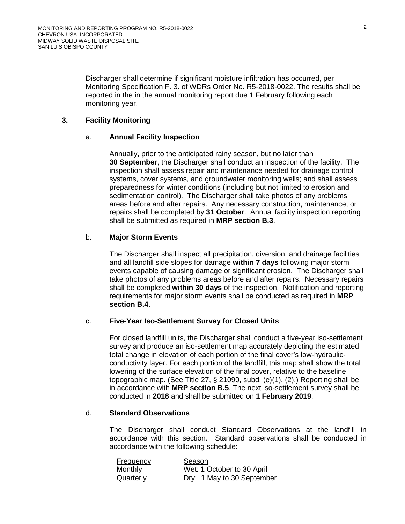Discharger shall determine if significant moisture infiltration has occurred, per Monitoring Specification F. 3. of WDRs Order No. R5-2018-0022. The results shall be reported in the in the annual monitoring report due 1 February following each monitoring year.

### <span id="page-12-0"></span>**3. Facility Monitoring**

#### a. **Annual Facility Inspection**

Annually, prior to the anticipated rainy season, but no later than **30 September**, the Discharger shall conduct an inspection of the facility. The inspection shall assess repair and maintenance needed for drainage control systems, cover systems, and groundwater monitoring wells; and shall assess preparedness for winter conditions (including but not limited to erosion and sedimentation control). The Discharger shall take photos of any problems areas before and after repairs. Any necessary construction, maintenance, or repairs shall be completed by **31 October**. Annual facility inspection reporting shall be submitted as required in **MRP section B.3**.

### <span id="page-12-1"></span>b. **Major Storm Events**

The Discharger shall inspect all precipitation, diversion, and drainage facilities and all landfill side slopes for damage **within 7 days** following major storm events capable of causing damage or significant erosion. The Discharger shall take photos of any problems areas before and after repairs. Necessary repairs shall be completed **within 30 days** of the inspection. Notification and reporting requirements for major storm events shall be conducted as required in **MRP section B.4**.

#### <span id="page-12-2"></span>c. **Five-Year Iso-Settlement Survey for Closed Units**

For closed landfill units, the Discharger shall conduct a five-year iso-settlement survey and produce an iso-settlement map accurately depicting the estimated total change in elevation of each portion of the final cover's low-hydraulicconductivity layer. For each portion of the landfill, this map shall show the total lowering of the surface elevation of the final cover, relative to the baseline topographic map. (See Title 27, § 21090, subd. (e)(1), (2).) Reporting shall be in accordance with **MRP section B.5**. The next iso-settlement survey shall be conducted in **2018** and shall be submitted on **1 February 2019**.

#### d. **Standard Observations**

The Discharger shall conduct Standard Observations at the landfill in accordance with this section. Standard observations shall be conducted in accordance with the following schedule:

| <b>Frequency</b> | Season                     |
|------------------|----------------------------|
| Monthly          | Wet: 1 October to 30 April |
| Quarterly        | Dry: 1 May to 30 September |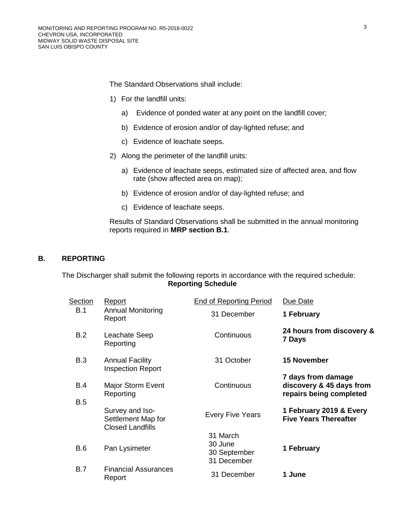The Standard Observations shall include:

- 1) For the landfill units:
	- a) Evidence of ponded water at any point on the landfill cover;
	- b) Evidence of erosion and/or of day-lighted refuse; and
	- c) Evidence of leachate seeps.
- 2) Along the perimeter of the landfill units:
	- a) Evidence of leachate seeps, estimated size of affected area, and flow rate (show affected area on map);
	- b) Evidence of erosion and/or of day-lighted refuse; and
	- c) Evidence of leachate seeps.

Results of Standard Observations shall be submitted in the annual monitoring reports required in **MRP section B.1**.

### **B. REPORTING**

The Discharger shall submit the following reports in accordance with the required schedule: **Reporting Schedule**

| Section    | Report                                                           | <b>End of Reporting Period</b>                     | Due Date                                                                  |
|------------|------------------------------------------------------------------|----------------------------------------------------|---------------------------------------------------------------------------|
| B.1        | <b>Annual Monitoring</b><br>Report                               | 31 December                                        | 1 February                                                                |
| B.2        | Leachate Seep<br>Reporting                                       | Continuous                                         | 24 hours from discovery &<br>7 Days                                       |
| B.3        | <b>Annual Facility</b><br><b>Inspection Report</b>               | 31 October                                         | <b>15 November</b>                                                        |
| <b>B.4</b> | Major Storm Event<br>Reporting                                   | Continuous                                         | 7 days from damage<br>discovery & 45 days from<br>repairs being completed |
| B.5        | Survey and Iso-<br>Settlement Map for<br><b>Closed Landfills</b> | <b>Every Five Years</b>                            | 1 February 2019 & Every<br><b>Five Years Thereafter</b>                   |
| B.6        | Pan Lysimeter                                                    | 31 March<br>30 June<br>30 September<br>31 December | 1 February                                                                |
| <b>B.7</b> | <b>Financial Assurances</b><br>Report                            | 31 December                                        | 1 June                                                                    |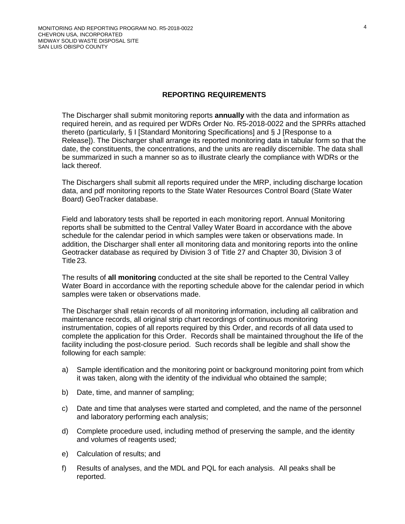#### **REPORTING REQUIREMENTS**

The Discharger shall submit monitoring reports **annually** with the data and information as required herein, and as required per WDRs Order No. R5-2018-0022 and the SPRRs attached thereto (particularly, § I [Standard Monitoring Specifications] and § J [Response to a Release]). The Discharger shall arrange its reported monitoring data in tabular form so that the date, the constituents, the concentrations, and the units are readily discernible. The data shall be summarized in such a manner so as to illustrate clearly the compliance with WDRs or the lack thereof.

The Dischargers shall submit all reports required under the MRP, including discharge location data, and pdf monitoring reports to the State Water Resources Control Board (State Water Board) GeoTracker database.

Field and laboratory tests shall be reported in each monitoring report. Annual Monitoring reports shall be submitted to the Central Valley Water Board in accordance with the above schedule for the calendar period in which samples were taken or observations made. In addition, the Discharger shall enter all monitoring data and monitoring reports into the online Geotracker database as required by Division 3 of Title 27 and Chapter 30, Division 3 of Title 23.

The results of **all monitoring** conducted at the site shall be reported to the Central Valley Water Board in accordance with the reporting schedule above for the calendar period in which samples were taken or observations made.

The Discharger shall retain records of all monitoring information, including all calibration and maintenance records, all original strip chart recordings of continuous monitoring instrumentation, copies of all reports required by this Order, and records of all data used to complete the application for this Order. Records shall be maintained throughout the life of the facility including the post-closure period. Such records shall be legible and shall show the following for each sample:

- a) Sample identification and the monitoring point or background monitoring point from which it was taken, along with the identity of the individual who obtained the sample;
- b) Date, time, and manner of sampling;
- c) Date and time that analyses were started and completed, and the name of the personnel and laboratory performing each analysis;
- d) Complete procedure used, including method of preserving the sample, and the identity and volumes of reagents used;
- e) Calculation of results; and
- f) Results of analyses, and the MDL and PQL for each analysis. All peaks shall be reported.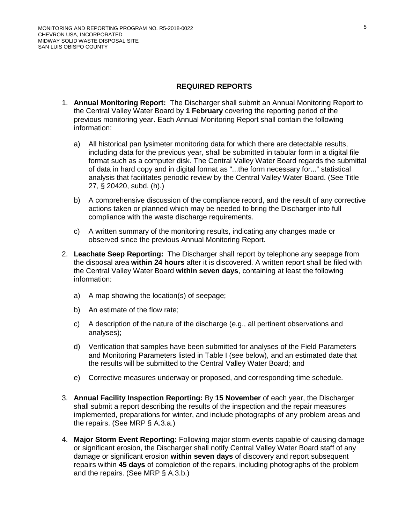### **REQUIRED REPORTS**

- 1. **Annual Monitoring Report:** The Discharger shall submit an Annual Monitoring Report to the Central Valley Water Board by **1 February** covering the reporting period of the previous monitoring year. Each Annual Monitoring Report shall contain the following information:
	- a) All historical pan lysimeter monitoring data for which there are detectable results, including data for the previous year, shall be submitted in tabular form in a digital file format such as a computer disk. The Central Valley Water Board regards the submittal of data in hard copy and in digital format as "...the form necessary for..." statistical analysis that facilitates periodic review by the Central Valley Water Board. (See Title 27, § 20420, subd. (h).)
	- b) A comprehensive discussion of the compliance record, and the result of any corrective actions taken or planned which may be needed to bring the Discharger into full compliance with the waste discharge requirements.
	- c) A written summary of the monitoring results, indicating any changes made or observed since the previous Annual Monitoring Report.
- 2. **Leachate Seep Reporting:** The Discharger shall report by telephone any seepage from the disposal area **within 24 hours** after it is discovered. A written report shall be filed with the Central Valley Water Board **within seven days**, containing at least the following information:
	- a) A map showing the location(s) of seepage;
	- b) An estimate of the flow rate;
	- c) A description of the nature of the discharge (e.g., all pertinent observations and analyses);
	- d) Verification that samples have been submitted for analyses of the Field Parameters and Monitoring Parameters listed in Table I (see below), and an estimated date that the results will be submitted to the Central Valley Water Board; and
	- e) Corrective measures underway or proposed, and corresponding time schedule.
- 3. **Annual Facility Inspection Reporting:** By **15 November** of each year, the Discharger shall submit a report describing the results of the inspection and the repair measures implemented, preparations for winter, and include photographs of any problem areas and the repairs. (See MRP § A.3[.a.](#page-12-0))
- 4. **Major Storm Event Reporting:** Following major storm events capable of causing damage or significant erosion, the Discharger shall notify Central Valley Water Board staff of any damage or significant erosion **within seven days** of discovery and report subsequent repairs within **45 days** of completion of the repairs, including photographs of the problem and the repairs. (See MRP § A.3[.b.](#page-12-1))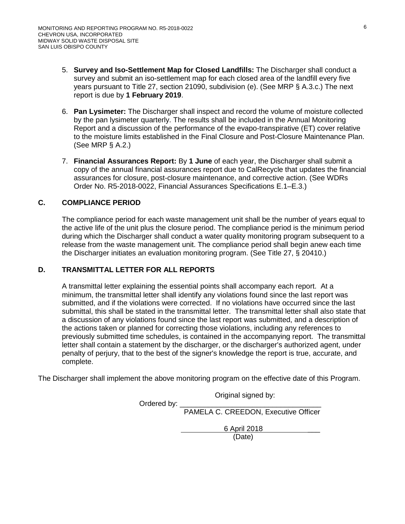- 5. **Survey and Iso-Settlement Map for Closed Landfills:** The Discharger shall conduct a survey and submit an iso-settlement map for each closed area of the landfill every five years pursuant to Title 27, section 21090, subdivision (e). (See MRP § A.3[.c.](#page-12-2)) The next report is due by **1 February 2019**.
- 6. **Pan Lysimeter:** The Discharger shall inspect and record the volume of moisture collected by the pan lysimeter quarterly. The results shall be included in the Annual Monitoring Report and a discussion of the performance of the evapo-transpirative (ET) cover relative to the moisture limits established in the Final Closure and Post-Closure Maintenance Plan. (See MRP § A.2.)
- 7. **Financial Assurances Report:** By **1 June** of each year, the Discharger shall submit a copy of the annual financial assurances report due to CalRecycle that updates the financial assurances for closure, post-closure maintenance, and corrective action. (See WDRs Order No. R5-2018-0022, Financial Assurances Specifications E.1–E.3.)

## **C. COMPLIANCE PERIOD**

The compliance period for each waste management unit shall be the number of years equal to the active life of the unit plus the closure period. The compliance period is the minimum period during which the Discharger shall conduct a water quality monitoring program subsequent to a release from the waste management unit. The compliance period shall begin anew each time the Discharger initiates an evaluation monitoring program. (See Title 27, § 20410.)

## **D. TRANSMITTAL LETTER FOR ALL REPORTS**

A transmittal letter explaining the essential points shall accompany each report. At a minimum, the transmittal letter shall identify any violations found since the last report was submitted, and if the violations were corrected. If no violations have occurred since the last submittal, this shall be stated in the transmittal letter. The transmittal letter shall also state that a discussion of any violations found since the last report was submitted, and a description of the actions taken or planned for correcting those violations, including any references to previously submitted time schedules, is contained in the accompanying report. The transmittal letter shall contain a statement by the discharger, or the discharger's authorized agent, under penalty of perjury, that to the best of the signer's knowledge the report is true, accurate, and complete.

The Discharger shall implement the above monitoring program on the effective date of this Program.

 Original signed by: Ordered by: PAMELA C. CREEDON, Executive Officer

 6 April 2018 \_\_\_ (Date)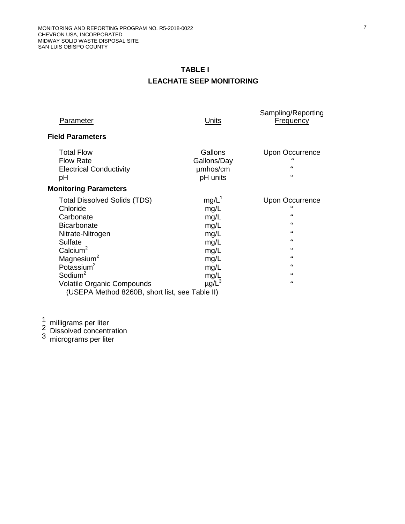# **TABLE I LEACHATE SEEP MONITORING**

| <b>Parameter</b>                                                                                                                                                                                                                                 | <u>Units</u>                                                                                               | Sampling/Reporting<br><b>Frequency</b>                                                           |
|--------------------------------------------------------------------------------------------------------------------------------------------------------------------------------------------------------------------------------------------------|------------------------------------------------------------------------------------------------------------|--------------------------------------------------------------------------------------------------|
| <b>Field Parameters</b>                                                                                                                                                                                                                          |                                                                                                            |                                                                                                  |
| <b>Total Flow</b><br><b>Flow Rate</b><br><b>Electrical Conductivity</b><br>рH                                                                                                                                                                    | Gallons<br>Gallons/Day<br>umhos/cm<br>pH units                                                             | <b>Upon Occurrence</b><br>66<br>66                                                               |
| <b>Monitoring Parameters</b>                                                                                                                                                                                                                     |                                                                                                            |                                                                                                  |
| <b>Total Dissolved Solids (TDS)</b><br>Chloride<br>Carbonate<br><b>Bicarbonate</b><br>Nitrate-Nitrogen<br>Sulfate<br>Calcium <sup>2</sup><br>Magnesium <sup>2</sup><br>Potassium <sup>2</sup><br>Sodium $2$<br><b>Volatile Organic Compounds</b> | $mg/L^1$<br>mg/L<br>mg/L<br>mg/L<br>mg/L<br>mg/L<br>mg/L<br>mg/L<br>mg/L<br>mg/L<br>$\mu$ g/L <sup>3</sup> | <b>Upon Occurrence</b><br>66<br>66<br>66<br>$\zeta$ $\zeta$<br>66<br>$\zeta$ $\zeta$<br>66<br>66 |
| (USEPA Method 8260B, short list, see Table II)                                                                                                                                                                                                   |                                                                                                            |                                                                                                  |

1 milligrams per liter<br>2 Dissolved concentration<br>3 micrograms per liter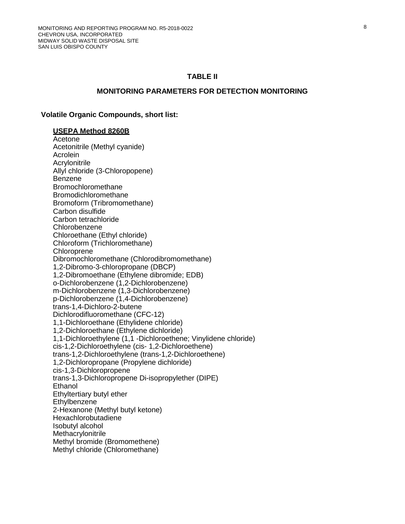#### **TABLE II**

#### **MONITORING PARAMETERS FOR DETECTION MONITORING**

#### **Volatile Organic Compounds, short list:**

#### **USEPA Method 8260B**

Acetone Acetonitrile (Methyl cyanide) Acrolein **Acrylonitrile** Allyl chloride (3-Chloropopene) Benzene Bromochloromethane Bromodichloromethane Bromoform (Tribromomethane) Carbon disulfide Carbon tetrachloride Chlorobenzene Chloroethane (Ethyl chloride) Chloroform (Trichloromethane) **Chloroprene** Dibromochloromethane (Chlorodibromomethane) 1,2-Dibromo-3-chloropropane (DBCP) 1,2-Dibromoethane (Ethylene dibromide; EDB) o-Dichlorobenzene (1,2-Dichlorobenzene) m-Dichlorobenzene (1,3-Dichlorobenzene) p-Dichlorobenzene (1,4-Dichlorobenzene) trans-1,4-Dichloro-2-butene Dichlorodifluoromethane (CFC-12) 1,1-Dichloroethane (Ethylidene chloride) 1,2-Dichloroethane (Ethylene dichloride) 1,1-Dichloroethylene (1,1 -Dichloroethene; Vinylidene chloride) cis-1,2-Dichloroethylene (cis- 1,2-Dichloroethene) trans-1,2-Dichloroethylene (trans-1,2-Dichloroethene) 1,2-Dichloropropane (Propylene dichloride) cis-1,3-Dichloropropene trans-1,3-Dichloropropene Di-isopropylether (DIPE) **Ethanol** Ethyltertiary butyl ether **Ethylbenzene** 2-Hexanone (Methyl butyl ketone) Hexachlorobutadiene Isobutyl alcohol **Methacrylonitrile** Methyl bromide (Bromomethene) Methyl chloride (Chloromethane)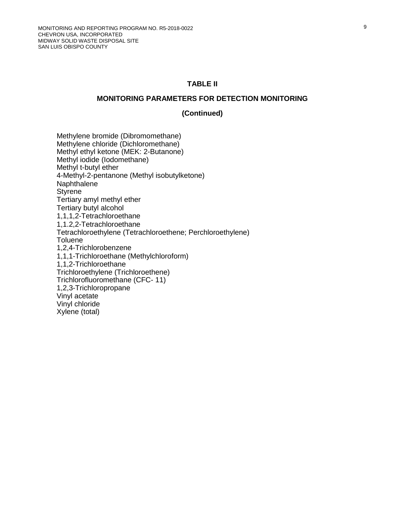#### **TABLE II**

#### **MONITORING PARAMETERS FOR DETECTION MONITORING**

#### **(Continued)**

Methylene bromide (Dibromomethane) Methylene chloride (Dichloromethane) Methyl ethyl ketone (MEK: 2-Butanone) Methyl iodide (Iodomethane) Methyl t-butyl ether 4-Methyl-2-pentanone (Methyl isobutylketone) Naphthalene **Styrene** Tertiary amyl methyl ether Tertiary butyl alcohol 1,1,1,2-Tetrachloroethane 1,1.2,2-Tetrachloroethane Tetrachloroethylene (Tetrachloroethene; Perchloroethylene) **Toluene** 1,2,4-Trichlorobenzene 1,1,1-Trichloroethane (Methylchloroform) 1,1,2-Trichloroethane Trichloroethylene (Trichloroethene) Trichlorofluoromethane (CFC- 11) 1,2,3-Trichloropropane Vinyl acetate Vinyl chloride Xylene (total)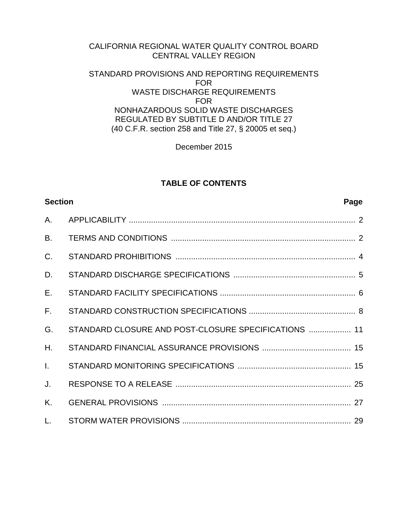# CALIFORNIA REGIONAL WATER QUALITY CONTROL BOARD CENTRAL VALLEY REGION

# STANDARD PROVISIONS AND REPORTING REQUIREMENTS FOR WASTE DISCHARGE REQUIREMENTS FOR NONHAZARDOUS SOLID WASTE DISCHARGES REGULATED BY SUBTITLE D AND/OR TITLE 27 (40 C.F.R. section 258 and Title 27, § 20005 et seq.)

December 2015

# **TABLE OF CONTENTS**

| <b>Section</b> |                                                      | Page |
|----------------|------------------------------------------------------|------|
| A.             |                                                      |      |
| <b>B.</b>      |                                                      |      |
| C <sub>1</sub> |                                                      |      |
| D.             |                                                      |      |
| E.             |                                                      |      |
| $F_{\rm L}$    |                                                      |      |
| G.             | STANDARD CLOSURE AND POST-CLOSURE SPECIFICATIONS  11 |      |
| H.             |                                                      |      |
| $\mathbf{L}$   |                                                      |      |
| J.             |                                                      |      |
| K.             |                                                      |      |
| L.             |                                                      |      |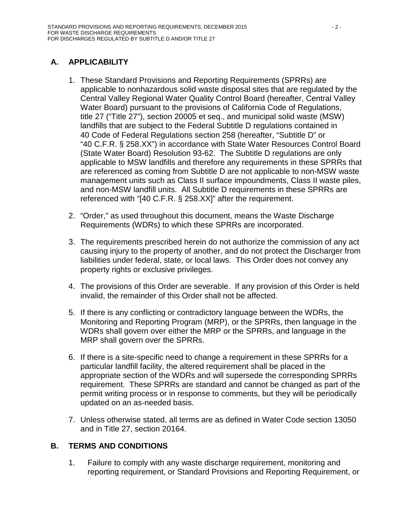# <span id="page-21-0"></span>**A. APPLICABILITY**

- 1. These Standard Provisions and Reporting Requirements (SPRRs) are applicable to nonhazardous solid waste disposal sites that are regulated by the Central Valley Regional Water Quality Control Board (hereafter, Central Valley Water Board) pursuant to the provisions of California Code of Regulations, title 27 ("Title 27"), section 20005 et seq., and municipal solid waste (MSW) landfills that are subject to the Federal Subtitle D regulations contained in 40 Code of Federal Regulations section 258 (hereafter, "Subtitle D" or "40 C.F.R. § 258.XX") in accordance with State Water Resources Control Board (State Water Board) Resolution 93-62. The Subtitle D regulations are only applicable to MSW landfills and therefore any requirements in these SPRRs that are referenced as coming from Subtitle D are not applicable to non-MSW waste management units such as Class II surface impoundments, Class II waste piles, and non-MSW landfill units. All Subtitle D requirements in these SPRRs are referenced with "[40 C.F.R. § 258.XX]" after the requirement.
- 2. "Order," as used throughout this document, means the Waste Discharge Requirements (WDRs) to which these SPRRs are incorporated.
- 3. The requirements prescribed herein do not authorize the commission of any act causing injury to the property of another, and do not protect the Discharger from liabilities under federal, state, or local laws. This Order does not convey any property rights or exclusive privileges.
- 4. The provisions of this Order are severable. If any provision of this Order is held invalid, the remainder of this Order shall not be affected.
- 5. If there is any conflicting or contradictory language between the WDRs, the Monitoring and Reporting Program (MRP), or the SPRRs, then language in the WDRs shall govern over either the MRP or the SPRRs, and language in the MRP shall govern over the SPRRs.
- 6. If there is a site-specific need to change a requirement in these SPRRs for a particular landfill facility, the altered requirement shall be placed in the appropriate section of the WDRs and will supersede the corresponding SPRRs requirement. These SPRRs are standard and cannot be changed as part of the permit writing process or in response to comments, but they will be periodically updated on an as-needed basis.
- 7. Unless otherwise stated, all terms are as defined in Water Code section 13050 and in Title 27, section 20164.

# <span id="page-21-1"></span>**B. TERMS AND CONDITIONS**

1. Failure to comply with any waste discharge requirement, monitoring and reporting requirement, or Standard Provisions and Reporting Requirement, or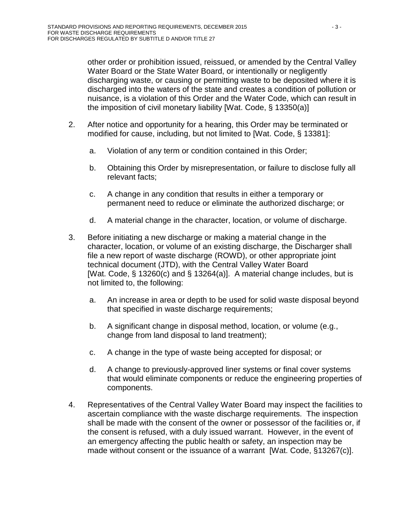other order or prohibition issued, reissued, or amended by the Central Valley Water Board or the State Water Board, or intentionally or negligently discharging waste, or causing or permitting waste to be deposited where it is discharged into the waters of the state and creates a condition of pollution or nuisance, is a violation of this Order and the Water Code, which can result in the imposition of civil monetary liability [Wat. Code, § 13350(a)]

- 2. After notice and opportunity for a hearing, this Order may be terminated or modified for cause, including, but not limited to [Wat. Code, § 13381]:
	- a. Violation of any term or condition contained in this Order;
	- b. Obtaining this Order by misrepresentation, or failure to disclose fully all relevant facts;
	- c. A change in any condition that results in either a temporary or permanent need to reduce or eliminate the authorized discharge; or
	- d. A material change in the character, location, or volume of discharge.
- 3. Before initiating a new discharge or making a material change in the character, location, or volume of an existing discharge, the Discharger shall file a new report of waste discharge (ROWD), or other appropriate joint technical document (JTD), with the Central Valley Water Board [Wat. Code, § 13260(c) and § 13264(a)]. A material change includes, but is not limited to, the following:
	- a. An increase in area or depth to be used for solid waste disposal beyond that specified in waste discharge requirements;
	- b. A significant change in disposal method, location, or volume (e.g., change from land disposal to land treatment);
	- c. A change in the type of waste being accepted for disposal; or
	- d. A change to previously-approved liner systems or final cover systems that would eliminate components or reduce the engineering properties of components.
- 4. Representatives of the Central Valley Water Board may inspect the facilities to ascertain compliance with the waste discharge requirements. The inspection shall be made with the consent of the owner or possessor of the facilities or, if the consent is refused, with a duly issued warrant. However, in the event of an emergency affecting the public health or safety, an inspection may be made without consent or the issuance of a warrant [Wat. Code, §13267(c)].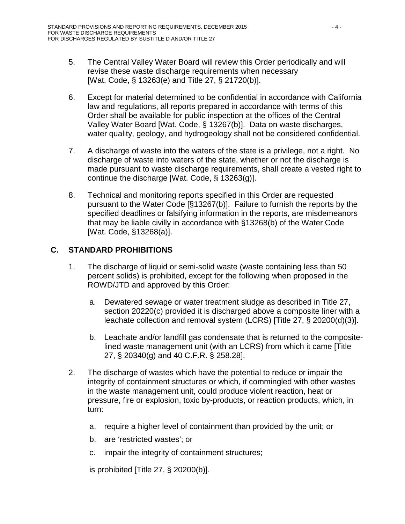- 5. The Central Valley Water Board will review this Order periodically and will revise these waste discharge requirements when necessary [Wat. Code, § 13263(e) and Title 27, § 21720(b)].
- 6. Except for material determined to be confidential in accordance with California law and regulations, all reports prepared in accordance with terms of this Order shall be available for public inspection at the offices of the Central Valley Water Board [Wat. Code, § 13267(b)]. Data on waste discharges, water quality, geology, and hydrogeology shall not be considered confidential.
- 7. A discharge of waste into the waters of the state is a privilege, not a right. No discharge of waste into waters of the state, whether or not the discharge is made pursuant to waste discharge requirements, shall create a vested right to continue the discharge [Wat. Code, § 13263(g)].
- 8. Technical and monitoring reports specified in this Order are requested pursuant to the Water Code [§13267(b)]. Failure to furnish the reports by the specified deadlines or falsifying information in the reports, are misdemeanors that may be liable civilly in accordance with §13268(b) of the Water Code [Wat. Code, §13268(a)].

# <span id="page-23-0"></span>**C. STANDARD PROHIBITIONS**

- 1. The discharge of liquid or semi-solid waste (waste containing less than 50 percent solids) is prohibited, except for the following when proposed in the ROWD/JTD and approved by this Order:
	- a. Dewatered sewage or water treatment sludge as described in Title 27, section 20220(c) provided it is discharged above a composite liner with a leachate collection and removal system (LCRS) [Title 27, § 20200(d)(3)].
	- b. Leachate and/or landfill gas condensate that is returned to the compositelined waste management unit (with an LCRS) from which it came [Title 27, § 20340(g) and 40 C.F.R. § 258.28].
- 2. The discharge of wastes which have the potential to reduce or impair the integrity of containment structures or which, if commingled with other wastes in the waste management unit, could produce violent reaction, heat or pressure, fire or explosion, toxic by-products, or reaction products, which, in turn:
	- a. require a higher level of containment than provided by the unit; or
	- b. are 'restricted wastes'; or
	- c. impair the integrity of containment structures;

is prohibited [Title 27, § 20200(b)].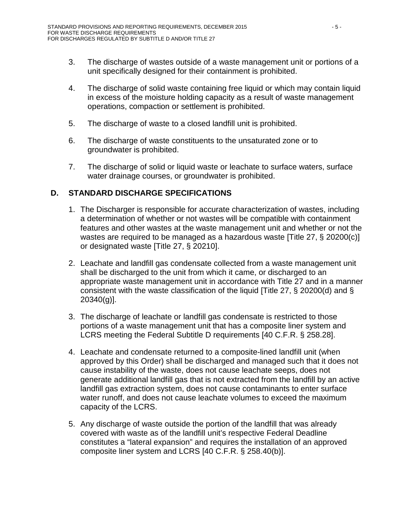- 3. The discharge of wastes outside of a waste management unit or portions of a unit specifically designed for their containment is prohibited.
- 4. The discharge of solid waste containing free liquid or which may contain liquid in excess of the moisture holding capacity as a result of waste management operations, compaction or settlement is prohibited.
- 5. The discharge of waste to a closed landfill unit is prohibited.
- 6. The discharge of waste constituents to the unsaturated zone or to groundwater is prohibited.
- 7. The discharge of solid or liquid waste or leachate to surface waters, surface water drainage courses, or groundwater is prohibited.

# <span id="page-24-0"></span>**D. STANDARD DISCHARGE SPECIFICATIONS**

- 1. The Discharger is responsible for accurate characterization of wastes, including a determination of whether or not wastes will be compatible with containment features and other wastes at the waste management unit and whether or not the wastes are required to be managed as a hazardous waste [Title 27, § 20200(c)] or designated waste [Title 27, § 20210].
- 2. Leachate and landfill gas condensate collected from a waste management unit shall be discharged to the unit from which it came, or discharged to an appropriate waste management unit in accordance with Title 27 and in a manner consistent with the waste classification of the liquid [Title 27, § 20200(d) and § 20340(g)].
- 3. The discharge of leachate or landfill gas condensate is restricted to those portions of a waste management unit that has a composite liner system and LCRS meeting the Federal Subtitle D requirements [40 C.F.R. § 258.28].
- 4. Leachate and condensate returned to a composite-lined landfill unit (when approved by this Order) shall be discharged and managed such that it does not cause instability of the waste, does not cause leachate seeps, does not generate additional landfill gas that is not extracted from the landfill by an active landfill gas extraction system, does not cause contaminants to enter surface water runoff, and does not cause leachate volumes to exceed the maximum capacity of the LCRS.
- 5. Any discharge of waste outside the portion of the landfill that was already covered with waste as of the landfill unit's respective Federal Deadline constitutes a "lateral expansion" and requires the installation of an approved composite liner system and LCRS [40 C.F.R. § 258.40(b)].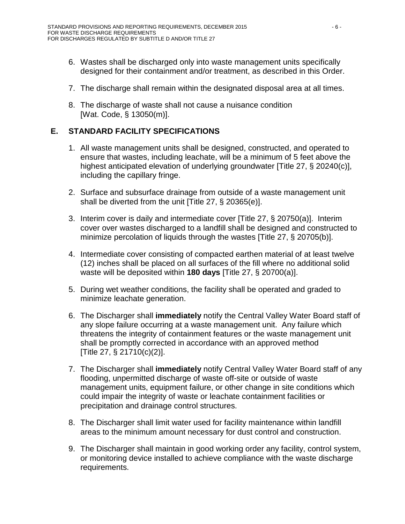- 6. Wastes shall be discharged only into waste management units specifically designed for their containment and/or treatment, as described in this Order.
- 7. The discharge shall remain within the designated disposal area at all times.
- 8. The discharge of waste shall not cause a nuisance condition [Wat. Code, § 13050(m)].

# <span id="page-25-0"></span>**E. STANDARD FACILITY SPECIFICATIONS**

- 1. All waste management units shall be designed, constructed, and operated to ensure that wastes, including leachate, will be a minimum of 5 feet above the highest anticipated elevation of underlying groundwater [Title 27, § 20240(c)], including the capillary fringe.
- 2. Surface and subsurface drainage from outside of a waste management unit shall be diverted from the unit [Title 27, § 20365(e)].
- 3. Interim cover is daily and intermediate cover [Title 27, § 20750(a)]. Interim cover over wastes discharged to a landfill shall be designed and constructed to minimize percolation of liquids through the wastes [Title 27, § 20705(b)].
- 4. Intermediate cover consisting of compacted earthen material of at least twelve (12) inches shall be placed on all surfaces of the fill where no additional solid waste will be deposited within **180 days** [Title 27, § 20700(a)].
- 5. During wet weather conditions, the facility shall be operated and graded to minimize leachate generation.
- 6. The Discharger shall **immediately** notify the Central Valley Water Board staff of any slope failure occurring at a waste management unit. Any failure which threatens the integrity of containment features or the waste management unit shall be promptly corrected in accordance with an approved method [Title 27, § 21710(c)(2)].
- 7. The Discharger shall **immediately** notify Central Valley Water Board staff of any flooding, unpermitted discharge of waste off-site or outside of waste management units, equipment failure, or other change in site conditions which could impair the integrity of waste or leachate containment facilities or precipitation and drainage control structures.
- 8. The Discharger shall limit water used for facility maintenance within landfill areas to the minimum amount necessary for dust control and construction.
- 9. The Discharger shall maintain in good working order any facility, control system, or monitoring device installed to achieve compliance with the waste discharge requirements.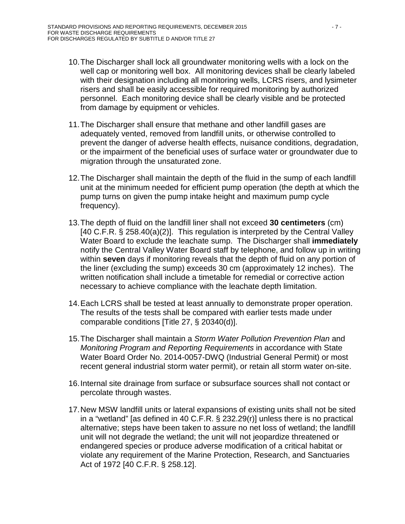- 10.The Discharger shall lock all groundwater monitoring wells with a lock on the well cap or monitoring well box. All monitoring devices shall be clearly labeled with their designation including all monitoring wells, LCRS risers, and lysimeter risers and shall be easily accessible for required monitoring by authorized personnel. Each monitoring device shall be clearly visible and be protected from damage by equipment or vehicles.
- 11.The Discharger shall ensure that methane and other landfill gases are adequately vented, removed from landfill units, or otherwise controlled to prevent the danger of adverse health effects, nuisance conditions, degradation, or the impairment of the beneficial uses of surface water or groundwater due to migration through the unsaturated zone.
- 12.The Discharger shall maintain the depth of the fluid in the sump of each landfill unit at the minimum needed for efficient pump operation (the depth at which the pump turns on given the pump intake height and maximum pump cycle frequency).
- 13.The depth of fluid on the landfill liner shall not exceed **30 centimeters** (cm) [40 C.F.R. § 258.40(a)(2)]. This regulation is interpreted by the Central Valley Water Board to exclude the leachate sump. The Discharger shall **immediately** notify the Central Valley Water Board staff by telephone, and follow up in writing within **seven** days if monitoring reveals that the depth of fluid on any portion of the liner (excluding the sump) exceeds 30 cm (approximately 12 inches). The written notification shall include a timetable for remedial or corrective action necessary to achieve compliance with the leachate depth limitation.
- 14.Each LCRS shall be tested at least annually to demonstrate proper operation. The results of the tests shall be compared with earlier tests made under comparable conditions [Title 27, § 20340(d)].
- 15.The Discharger shall maintain a *Storm Water Pollution Prevention Plan* and *Monitoring Program and Reporting Requirements* in accordance with State Water Board Order No. 2014-0057-DWQ (Industrial General Permit) or most recent general industrial storm water permit), or retain all storm water on-site.
- 16.Internal site drainage from surface or subsurface sources shall not contact or percolate through wastes.
- 17.New MSW landfill units or lateral expansions of existing units shall not be sited in a "wetland" [as defined in 40 C.F.R. § 232.29(r)] unless there is no practical alternative; steps have been taken to assure no net loss of wetland; the landfill unit will not degrade the wetland; the unit will not jeopardize threatened or endangered species or produce adverse modification of a critical habitat or violate any requirement of the Marine Protection, Research, and Sanctuaries Act of 1972 [40 C.F.R. § 258.12].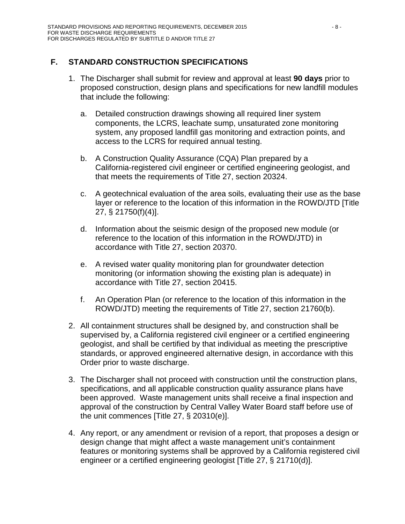# <span id="page-27-0"></span>**F. STANDARD CONSTRUCTION SPECIFICATIONS**

- 1. The Discharger shall submit for review and approval at least **90 days** prior to proposed construction, design plans and specifications for new landfill modules that include the following:
	- a. Detailed construction drawings showing all required liner system components, the LCRS, leachate sump, unsaturated zone monitoring system, any proposed landfill gas monitoring and extraction points, and access to the LCRS for required annual testing.
	- b. A Construction Quality Assurance (CQA) Plan prepared by a California-registered civil engineer or certified engineering geologist, and that meets the requirements of Title 27, section 20324.
	- c. A geotechnical evaluation of the area soils, evaluating their use as the base layer or reference to the location of this information in the ROWD/JTD [Title 27, § 21750(f)(4)].
	- d. Information about the seismic design of the proposed new module (or reference to the location of this information in the ROWD/JTD) in accordance with Title 27, section 20370.
	- e. A revised water quality monitoring plan for groundwater detection monitoring (or information showing the existing plan is adequate) in accordance with Title 27, section 20415.
	- f. An Operation Plan (or reference to the location of this information in the ROWD/JTD) meeting the requirements of Title 27, section 21760(b).
- 2. All containment structures shall be designed by, and construction shall be supervised by, a California registered civil engineer or a certified engineering geologist, and shall be certified by that individual as meeting the prescriptive standards, or approved engineered alternative design, in accordance with this Order prior to waste discharge.
- 3. The Discharger shall not proceed with construction until the construction plans, specifications, and all applicable construction quality assurance plans have been approved. Waste management units shall receive a final inspection and approval of the construction by Central Valley Water Board staff before use of the unit commences [Title 27, § 20310(e)].
- 4. Any report, or any amendment or revision of a report, that proposes a design or design change that might affect a waste management unit's containment features or monitoring systems shall be approved by a California registered civil engineer or a certified engineering geologist [Title 27, § 21710(d)].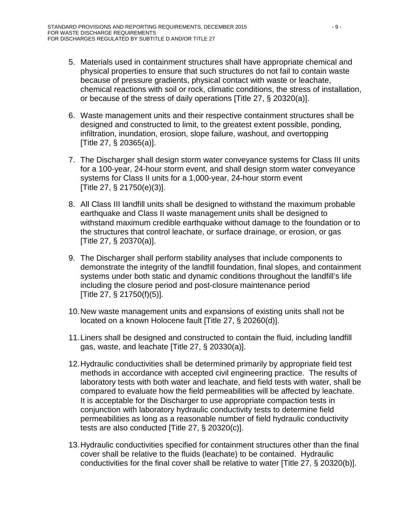- 5. Materials used in containment structures shall have appropriate chemical and physical properties to ensure that such structures do not fail to contain waste because of pressure gradients, physical contact with waste or leachate, chemical reactions with soil or rock, climatic conditions, the stress of installation, or because of the stress of daily operations [Title 27, § 20320(a)].
- 6. Waste management units and their respective containment structures shall be designed and constructed to limit, to the greatest extent possible, ponding, infiltration, inundation, erosion, slope failure, washout, and overtopping [Title 27, § 20365(a)].
- 7. The Discharger shall design storm water conveyance systems for Class III units for a 100-year, 24-hour storm event, and shall design storm water conveyance systems for Class II units for a 1,000-year, 24-hour storm event [Title 27, § 21750(e)(3)].
- 8. All Class III landfill units shall be designed to withstand the maximum probable earthquake and Class II waste management units shall be designed to withstand maximum credible earthquake without damage to the foundation or to the structures that control leachate, or surface drainage, or erosion, or gas [Title 27, § 20370(a)].
- 9. The Discharger shall perform stability analyses that include components to demonstrate the integrity of the landfill foundation, final slopes, and containment systems under both static and dynamic conditions throughout the landfill's life including the closure period and post-closure maintenance period [Title 27, § 21750(f)(5)].
- 10.New waste management units and expansions of existing units shall not be located on a known Holocene fault [Title 27, § 20260(d)].
- 11.Liners shall be designed and constructed to contain the fluid, including landfill gas, waste, and leachate [Title 27, § 20330(a)].
- 12.Hydraulic conductivities shall be determined primarily by appropriate field test methods in accordance with accepted civil engineering practice. The results of laboratory tests with both water and leachate, and field tests with water, shall be compared to evaluate how the field permeabilities will be affected by leachate. It is acceptable for the Discharger to use appropriate compaction tests in conjunction with laboratory hydraulic conductivity tests to determine field permeabilities as long as a reasonable number of field hydraulic conductivity tests are also conducted [Title 27, § 20320(c)].
- 13.Hydraulic conductivities specified for containment structures other than the final cover shall be relative to the fluids (leachate) to be contained. Hydraulic conductivities for the final cover shall be relative to water [Title 27, § 20320(b)].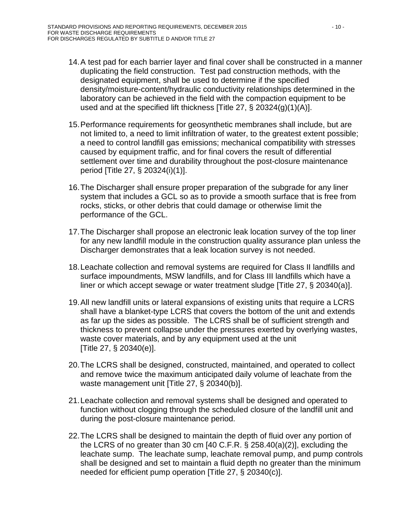- 14.A test pad for each barrier layer and final cover shall be constructed in a manner duplicating the field construction. Test pad construction methods, with the designated equipment, shall be used to determine if the specified density/moisture-content/hydraulic conductivity relationships determined in the laboratory can be achieved in the field with the compaction equipment to be used and at the specified lift thickness [Title 27, § 20324(g)(1)(A)].
- 15.Performance requirements for geosynthetic membranes shall include, but are not limited to, a need to limit infiltration of water, to the greatest extent possible; a need to control landfill gas emissions; mechanical compatibility with stresses caused by equipment traffic, and for final covers the result of differential settlement over time and durability throughout the post-closure maintenance period [Title 27, § 20324(i)(1)].
- 16.The Discharger shall ensure proper preparation of the subgrade for any liner system that includes a GCL so as to provide a smooth surface that is free from rocks, sticks, or other debris that could damage or otherwise limit the performance of the GCL.
- 17.The Discharger shall propose an electronic leak location survey of the top liner for any new landfill module in the construction quality assurance plan unless the Discharger demonstrates that a leak location survey is not needed.
- 18.Leachate collection and removal systems are required for Class II landfills and surface impoundments, MSW landfills, and for Class III landfills which have a liner or which accept sewage or water treatment sludge [Title 27, § 20340(a)].
- 19.All new landfill units or lateral expansions of existing units that require a LCRS shall have a blanket-type LCRS that covers the bottom of the unit and extends as far up the sides as possible. The LCRS shall be of sufficient strength and thickness to prevent collapse under the pressures exerted by overlying wastes, waste cover materials, and by any equipment used at the unit [Title 27, § 20340(e)].
- 20.The LCRS shall be designed, constructed, maintained, and operated to collect and remove twice the maximum anticipated daily volume of leachate from the waste management unit [Title 27, § 20340(b)].
- 21.Leachate collection and removal systems shall be designed and operated to function without clogging through the scheduled closure of the landfill unit and during the post-closure maintenance period.
- 22.The LCRS shall be designed to maintain the depth of fluid over any portion of the LCRS of no greater than 30 cm [40 C.F.R. § 258.40(a)(2)], excluding the leachate sump. The leachate sump, leachate removal pump, and pump controls shall be designed and set to maintain a fluid depth no greater than the minimum needed for efficient pump operation [Title 27, § 20340(c)].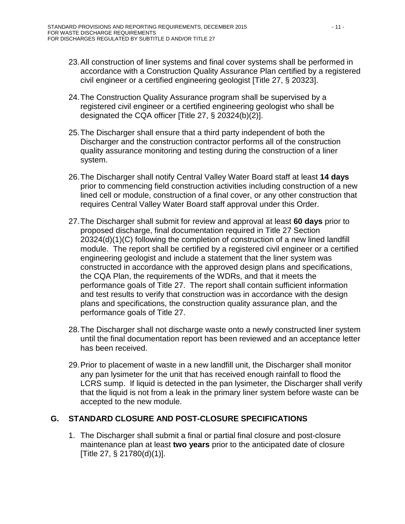- 23.All construction of liner systems and final cover systems shall be performed in accordance with a Construction Quality Assurance Plan certified by a registered civil engineer or a certified engineering geologist [Title 27, § 20323].
- 24.The Construction Quality Assurance program shall be supervised by a registered civil engineer or a certified engineering geologist who shall be designated the CQA officer [Title 27, § 20324(b)(2)].
- 25.The Discharger shall ensure that a third party independent of both the Discharger and the construction contractor performs all of the construction quality assurance monitoring and testing during the construction of a liner system.
- 26.The Discharger shall notify Central Valley Water Board staff at least **14 days** prior to commencing field construction activities including construction of a new lined cell or module, construction of a final cover, or any other construction that requires Central Valley Water Board staff approval under this Order.
- 27.The Discharger shall submit for review and approval at least **60 days** prior to proposed discharge, final documentation required in Title 27 Section 20324(d)(1)(C) following the completion of construction of a new lined landfill module. The report shall be certified by a registered civil engineer or a certified engineering geologist and include a statement that the liner system was constructed in accordance with the approved design plans and specifications, the CQA Plan, the requirements of the WDRs, and that it meets the performance goals of Title 27. The report shall contain sufficient information and test results to verify that construction was in accordance with the design plans and specifications, the construction quality assurance plan, and the performance goals of Title 27.
- 28.The Discharger shall not discharge waste onto a newly constructed liner system until the final documentation report has been reviewed and an acceptance letter has been received.
- 29.Prior to placement of waste in a new landfill unit, the Discharger shall monitor any pan lysimeter for the unit that has received enough rainfall to flood the LCRS sump. If liquid is detected in the pan lysimeter, the Discharger shall verify that the liquid is not from a leak in the primary liner system before waste can be accepted to the new module.

# <span id="page-30-0"></span>**G. STANDARD CLOSURE AND POST-CLOSURE SPECIFICATIONS**

1. The Discharger shall submit a final or partial final closure and post-closure maintenance plan at least **two years** prior to the anticipated date of closure [Title 27, § 21780(d)(1)].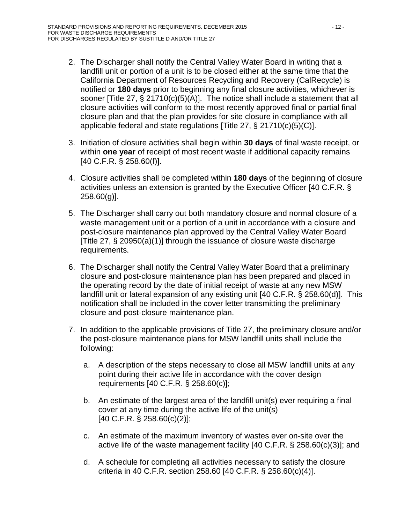- 2. The Discharger shall notify the Central Valley Water Board in writing that a landfill unit or portion of a unit is to be closed either at the same time that the California Department of Resources Recycling and Recovery (CalRecycle) is notified or **180 days** prior to beginning any final closure activities, whichever is sooner [Title 27, § 21710(c)(5)(A)]. The notice shall include a statement that all closure activities will conform to the most recently approved final or partial final closure plan and that the plan provides for site closure in compliance with all applicable federal and state regulations [Title 27, § 21710(c)(5)(C)].
- 3. Initiation of closure activities shall begin within **30 days** of final waste receipt, or within **one year** of receipt of most recent waste if additional capacity remains [40 C.F.R. § 258.60(f)].
- 4. Closure activities shall be completed within **180 days** of the beginning of closure activities unless an extension is granted by the Executive Officer [40 C.F.R. § 258.60(g)].
- 5. The Discharger shall carry out both mandatory closure and normal closure of a waste management unit or a portion of a unit in accordance with a closure and post-closure maintenance plan approved by the Central Valley Water Board [Title 27, § 20950(a)(1)] through the issuance of closure waste discharge requirements.
- 6. The Discharger shall notify the Central Valley Water Board that a preliminary closure and post-closure maintenance plan has been prepared and placed in the operating record by the date of initial receipt of waste at any new MSW landfill unit or lateral expansion of any existing unit [40 C.F.R. § 258.60(d)]. This notification shall be included in the cover letter transmitting the preliminary closure and post-closure maintenance plan.
- 7. In addition to the applicable provisions of Title 27, the preliminary closure and/or the post-closure maintenance plans for MSW landfill units shall include the following:
	- a. A description of the steps necessary to close all MSW landfill units at any point during their active life in accordance with the cover design requirements [40 C.F.R. § 258.60(c)];
	- b. An estimate of the largest area of the landfill unit(s) ever requiring a final cover at any time during the active life of the unit(s) [40 C.F.R. § 258.60(c)(2)];
	- c. An estimate of the maximum inventory of wastes ever on-site over the active life of the waste management facility [40 C.F.R. § 258.60(c)(3)]; and
	- d. A schedule for completing all activities necessary to satisfy the closure criteria in 40 C.F.R. section 258.60 [40 C.F.R. § 258.60(c)(4)].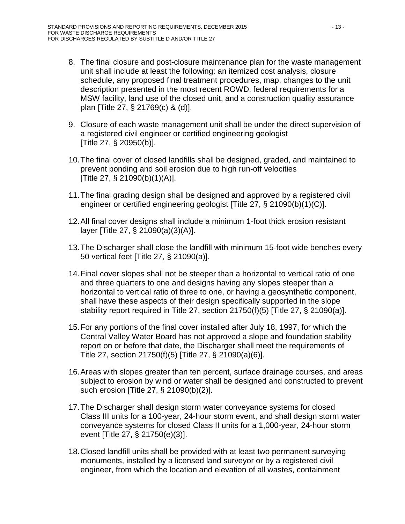- 8. The final closure and post-closure maintenance plan for the waste management unit shall include at least the following: an itemized cost analysis, closure schedule, any proposed final treatment procedures, map, changes to the unit description presented in the most recent ROWD, federal requirements for a MSW facility, land use of the closed unit, and a construction quality assurance plan [Title 27, § 21769(c) & (d)].
- 9. Closure of each waste management unit shall be under the direct supervision of a registered civil engineer or certified engineering geologist [Title 27, § 20950(b)].
- 10.The final cover of closed landfills shall be designed, graded, and maintained to prevent ponding and soil erosion due to high run-off velocities [Title 27, § 21090(b)(1)(A)].
- 11.The final grading design shall be designed and approved by a registered civil engineer or certified engineering geologist [Title 27, § 21090(b)(1)(C)].
- 12.All final cover designs shall include a minimum 1-foot thick erosion resistant layer [Title 27, § 21090(a)(3)(A)].
- 13.The Discharger shall close the landfill with minimum 15-foot wide benches every 50 vertical feet [Title 27, § 21090(a)].
- 14.Final cover slopes shall not be steeper than a horizontal to vertical ratio of one and three quarters to one and designs having any slopes steeper than a horizontal to vertical ratio of three to one, or having a geosynthetic component, shall have these aspects of their design specifically supported in the slope stability report required in Title 27, section 21750(f)(5) [Title 27, § 21090(a)].
- 15.For any portions of the final cover installed after July 18, 1997, for which the Central Valley Water Board has not approved a slope and foundation stability report on or before that date, the Discharger shall meet the requirements of Title 27, section 21750(f)(5) [Title 27, § 21090(a)(6)].
- 16.Areas with slopes greater than ten percent, surface drainage courses, and areas subject to erosion by wind or water shall be designed and constructed to prevent such erosion [Title 27, § 21090(b)(2)].
- 17.The Discharger shall design storm water conveyance systems for closed Class III units for a 100-year, 24-hour storm event, and shall design storm water conveyance systems for closed Class II units for a 1,000-year, 24-hour storm event [Title 27, § 21750(e)(3)].
- 18.Closed landfill units shall be provided with at least two permanent surveying monuments, installed by a licensed land surveyor or by a registered civil engineer, from which the location and elevation of all wastes, containment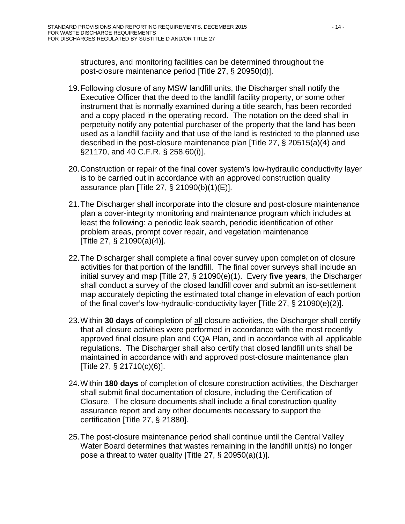structures, and monitoring facilities can be determined throughout the post-closure maintenance period [Title 27, § 20950(d)].

- 19.Following closure of any MSW landfill units, the Discharger shall notify the Executive Officer that the deed to the landfill facility property, or some other instrument that is normally examined during a title search, has been recorded and a copy placed in the operating record. The notation on the deed shall in perpetuity notify any potential purchaser of the property that the land has been used as a landfill facility and that use of the land is restricted to the planned use described in the post-closure maintenance plan [Title 27, § 20515(a)(4) and §21170, and 40 C.F.R. § 258.60(i)].
- 20.Construction or repair of the final cover system's low-hydraulic conductivity layer is to be carried out in accordance with an approved construction quality assurance plan [Title 27, § 21090(b)(1)(E)].
- 21.The Discharger shall incorporate into the closure and post-closure maintenance plan a cover-integrity monitoring and maintenance program which includes at least the following: a periodic leak search, periodic identification of other problem areas, prompt cover repair, and vegetation maintenance [Title 27, § 21090(a)(4)].
- 22.The Discharger shall complete a final cover survey upon completion of closure activities for that portion of the landfill. The final cover surveys shall include an initial survey and map [Title 27, § 21090(e)(1). Every **five years**, the Discharger shall conduct a survey of the closed landfill cover and submit an iso-settlement map accurately depicting the estimated total change in elevation of each portion of the final cover's low-hydraulic-conductivity layer [Title 27, § 21090(e)(2)].
- 23.Within **30 days** of completion of all closure activities, the Discharger shall certify that all closure activities were performed in accordance with the most recently approved final closure plan and CQA Plan, and in accordance with all applicable regulations. The Discharger shall also certify that closed landfill units shall be maintained in accordance with and approved post-closure maintenance plan [Title 27, § 21710(c)(6)].
- 24.Within **180 days** of completion of closure construction activities, the Discharger shall submit final documentation of closure, including the Certification of Closure. The closure documents shall include a final construction quality assurance report and any other documents necessary to support the certification [Title 27, § 21880].
- 25.The post-closure maintenance period shall continue until the Central Valley Water Board determines that wastes remaining in the landfill unit(s) no longer pose a threat to water quality [Title 27, § 20950(a)(1)].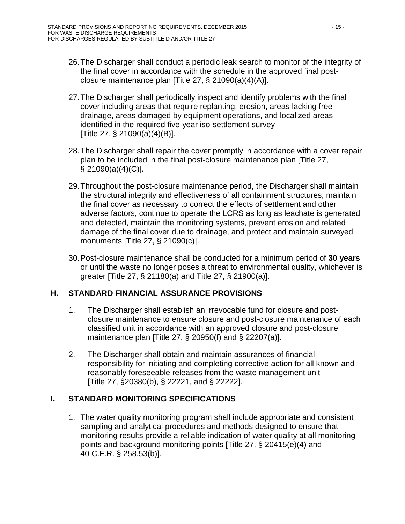- 26.The Discharger shall conduct a periodic leak search to monitor of the integrity of the final cover in accordance with the schedule in the approved final postclosure maintenance plan [Title 27, § 21090(a)(4)(A)].
- 27.The Discharger shall periodically inspect and identify problems with the final cover including areas that require replanting, erosion, areas lacking free drainage, areas damaged by equipment operations, and localized areas identified in the required five-year iso-settlement survey [Title 27, § 21090(a)(4)(B)].
- 28.The Discharger shall repair the cover promptly in accordance with a cover repair plan to be included in the final post-closure maintenance plan [Title 27, § 21090(a)(4)(C)].
- 29.Throughout the post-closure maintenance period, the Discharger shall maintain the structural integrity and effectiveness of all containment structures, maintain the final cover as necessary to correct the effects of settlement and other adverse factors, continue to operate the LCRS as long as leachate is generated and detected, maintain the monitoring systems, prevent erosion and related damage of the final cover due to drainage, and protect and maintain surveyed monuments [Title 27, § 21090(c)].
- 30.Post-closure maintenance shall be conducted for a minimum period of **30 years** or until the waste no longer poses a threat to environmental quality, whichever is greater [Title 27, § 21180(a) and Title 27, § 21900(a)].

# <span id="page-34-0"></span>**H. STANDARD FINANCIAL ASSURANCE PROVISIONS**

- 1. The Discharger shall establish an irrevocable fund for closure and postclosure maintenance to ensure closure and post-closure maintenance of each classified unit in accordance with an approved closure and post-closure maintenance plan [Title 27, § 20950(f) and § 22207(a)].
- 2. The Discharger shall obtain and maintain assurances of financial responsibility for initiating and completing corrective action for all known and reasonably foreseeable releases from the waste management unit [Title 27, §20380(b), § 22221, and § 22222].

# <span id="page-34-1"></span>**I. STANDARD MONITORING SPECIFICATIONS**

1. The water quality monitoring program shall include appropriate and consistent sampling and analytical procedures and methods designed to ensure that monitoring results provide a reliable indication of water quality at all monitoring points and background monitoring points [Title 27, § 20415(e)(4) and 40 C.F.R. § 258.53(b)].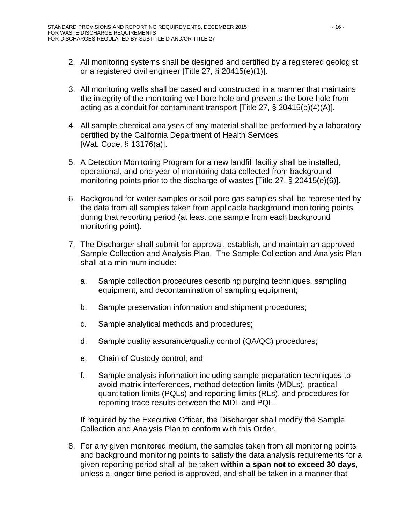- 2. All monitoring systems shall be designed and certified by a registered geologist or a registered civil engineer [Title 27, § 20415(e)(1)].
- 3. All monitoring wells shall be cased and constructed in a manner that maintains the integrity of the monitoring well bore hole and prevents the bore hole from acting as a conduit for contaminant transport [Title 27, § 20415(b)(4)(A)].
- 4. All sample chemical analyses of any material shall be performed by a laboratory certified by the California Department of Health Services [Wat. Code, § 13176(a)].
- 5. A Detection Monitoring Program for a new landfill facility shall be installed, operational, and one year of monitoring data collected from background monitoring points prior to the discharge of wastes [Title 27, § 20415(e)(6)].
- 6. Background for water samples or soil-pore gas samples shall be represented by the data from all samples taken from applicable background monitoring points during that reporting period (at least one sample from each background monitoring point).
- 7. The Discharger shall submit for approval, establish, and maintain an approved Sample Collection and Analysis Plan. The Sample Collection and Analysis Plan shall at a minimum include:
	- a. Sample collection procedures describing purging techniques, sampling equipment, and decontamination of sampling equipment;
	- b. Sample preservation information and shipment procedures;
	- c. Sample analytical methods and procedures;
	- d. Sample quality assurance/quality control (QA/QC) procedures;
	- e. Chain of Custody control; and
	- f. Sample analysis information including sample preparation techniques to avoid matrix interferences, method detection limits (MDLs), practical quantitation limits (PQLs) and reporting limits (RLs), and procedures for reporting trace results between the MDL and PQL.

If required by the Executive Officer, the Discharger shall modify the Sample Collection and Analysis Plan to conform with this Order.

8. For any given monitored medium, the samples taken from all monitoring points and background monitoring points to satisfy the data analysis requirements for a given reporting period shall all be taken **within a span not to exceed 30 days**, unless a longer time period is approved, and shall be taken in a manner that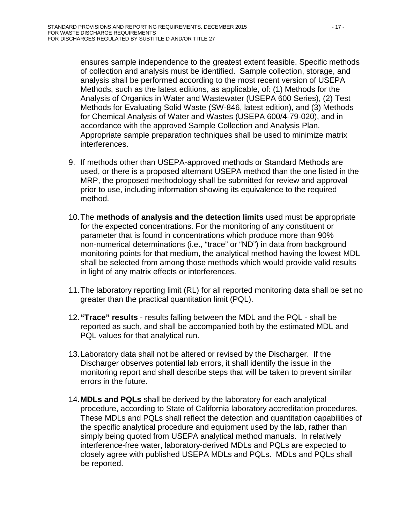ensures sample independence to the greatest extent feasible. Specific methods of collection and analysis must be identified. Sample collection, storage, and analysis shall be performed according to the most recent version of USEPA Methods, such as the latest editions, as applicable, of: (1) Methods for the Analysis of Organics in Water and Wastewater (USEPA 600 Series), (2) Test Methods for Evaluating Solid Waste (SW-846, latest edition), and (3) Methods for Chemical Analysis of Water and Wastes (USEPA 600/4-79-020), and in accordance with the approved Sample Collection and Analysis Plan. Appropriate sample preparation techniques shall be used to minimize matrix interferences.

- 9. If methods other than USEPA-approved methods or Standard Methods are used, or there is a proposed alternant USEPA method than the one listed in the MRP, the proposed methodology shall be submitted for review and approval prior to use, including information showing its equivalence to the required method.
- 10.The **methods of analysis and the detection limits** used must be appropriate for the expected concentrations. For the monitoring of any constituent or parameter that is found in concentrations which produce more than 90% non-numerical determinations (i.e., "trace" or "ND") in data from background monitoring points for that medium, the analytical method having the lowest MDL shall be selected from among those methods which would provide valid results in light of any matrix effects or interferences.
- 11.The laboratory reporting limit (RL) for all reported monitoring data shall be set no greater than the practical quantitation limit (PQL).
- 12.**"Trace" results** results falling between the MDL and the PQL shall be reported as such, and shall be accompanied both by the estimated MDL and PQL values for that analytical run.
- 13.Laboratory data shall not be altered or revised by the Discharger. If the Discharger observes potential lab errors, it shall identify the issue in the monitoring report and shall describe steps that will be taken to prevent similar errors in the future.
- 14.**MDLs and PQLs** shall be derived by the laboratory for each analytical procedure, according to State of California laboratory accreditation procedures. These MDLs and PQLs shall reflect the detection and quantitation capabilities of the specific analytical procedure and equipment used by the lab, rather than simply being quoted from USEPA analytical method manuals. In relatively interference-free water, laboratory-derived MDLs and PQLs are expected to closely agree with published USEPA MDLs and PQLs. MDLs and PQLs shall be reported.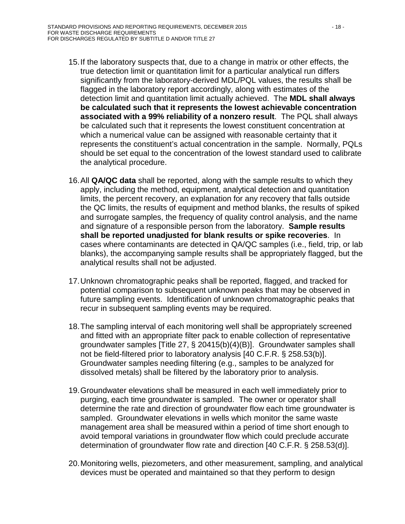- 15.If the laboratory suspects that, due to a change in matrix or other effects, the true detection limit or quantitation limit for a particular analytical run differs significantly from the laboratory-derived MDL/PQL values, the results shall be flagged in the laboratory report accordingly, along with estimates of the detection limit and quantitation limit actually achieved. The **MDL shall always be calculated such that it represents the lowest achievable concentration associated with a 99% reliability of a nonzero result**. The PQL shall always be calculated such that it represents the lowest constituent concentration at which a numerical value can be assigned with reasonable certainty that it represents the constituent's actual concentration in the sample. Normally, PQLs should be set equal to the concentration of the lowest standard used to calibrate the analytical procedure.
- 16.All **QA/QC data** shall be reported, along with the sample results to which they apply, including the method, equipment, analytical detection and quantitation limits, the percent recovery, an explanation for any recovery that falls outside the QC limits, the results of equipment and method blanks, the results of spiked and surrogate samples, the frequency of quality control analysis, and the name and signature of a responsible person from the laboratory. **Sample results shall be reported unadjusted for blank results or spike recoveries**. In cases where contaminants are detected in QA/QC samples (i.e., field, trip, or lab blanks), the accompanying sample results shall be appropriately flagged, but the analytical results shall not be adjusted.
- 17.Unknown chromatographic peaks shall be reported, flagged, and tracked for potential comparison to subsequent unknown peaks that may be observed in future sampling events. Identification of unknown chromatographic peaks that recur in subsequent sampling events may be required.
- 18.The sampling interval of each monitoring well shall be appropriately screened and fitted with an appropriate filter pack to enable collection of representative groundwater samples [Title 27, § 20415(b)(4)(B)]. Groundwater samples shall not be field-filtered prior to laboratory analysis [40 C.F.R. § 258.53(b)]. Groundwater samples needing filtering (e.g., samples to be analyzed for dissolved metals) shall be filtered by the laboratory prior to analysis.
- 19.Groundwater elevations shall be measured in each well immediately prior to purging, each time groundwater is sampled. The owner or operator shall determine the rate and direction of groundwater flow each time groundwater is sampled. Groundwater elevations in wells which monitor the same waste management area shall be measured within a period of time short enough to avoid temporal variations in groundwater flow which could preclude accurate determination of groundwater flow rate and direction [40 C.F.R. § 258.53(d)].
- 20.Monitoring wells, piezometers, and other measurement, sampling, and analytical devices must be operated and maintained so that they perform to design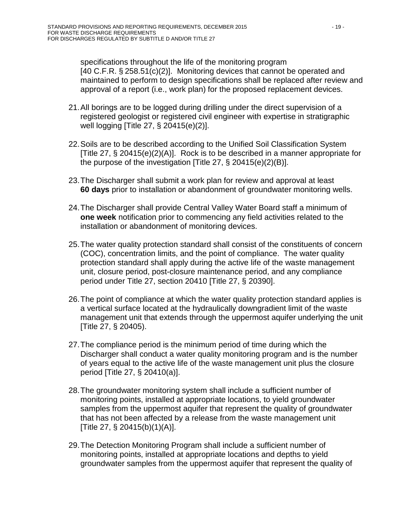specifications throughout the life of the monitoring program [40 C.F.R. § 258.51(c)(2)]. Monitoring devices that cannot be operated and maintained to perform to design specifications shall be replaced after review and approval of a report (i.e., work plan) for the proposed replacement devices.

- 21.All borings are to be logged during drilling under the direct supervision of a registered geologist or registered civil engineer with expertise in stratigraphic well logging [Title 27, § 20415(e)(2)].
- 22.Soils are to be described according to the Unified Soil Classification System [Title 27, § 20415(e)(2)(A)]. Rock is to be described in a manner appropriate for the purpose of the investigation [Title 27, § 20415(e)(2)(B)].
- 23.The Discharger shall submit a work plan for review and approval at least **60 days** prior to installation or abandonment of groundwater monitoring wells.
- 24.The Discharger shall provide Central Valley Water Board staff a minimum of **one week** notification prior to commencing any field activities related to the installation or abandonment of monitoring devices.
- 25.The water quality protection standard shall consist of the constituents of concern (COC), concentration limits, and the point of compliance. The water quality protection standard shall apply during the active life of the waste management unit, closure period, post-closure maintenance period, and any compliance period under Title 27, section 20410 [Title 27, § 20390].
- 26.The point of compliance at which the water quality protection standard applies is a vertical surface located at the hydraulically downgradient limit of the waste management unit that extends through the uppermost aquifer underlying the unit [Title 27, § 20405).
- 27.The compliance period is the minimum period of time during which the Discharger shall conduct a water quality monitoring program and is the number of years equal to the active life of the waste management unit plus the closure period [Title 27, § 20410(a)].
- 28.The groundwater monitoring system shall include a sufficient number of monitoring points, installed at appropriate locations, to yield groundwater samples from the uppermost aquifer that represent the quality of groundwater that has not been affected by a release from the waste management unit [Title 27, § 20415(b)(1)(A)].
- 29.The Detection Monitoring Program shall include a sufficient number of monitoring points, installed at appropriate locations and depths to yield groundwater samples from the uppermost aquifer that represent the quality of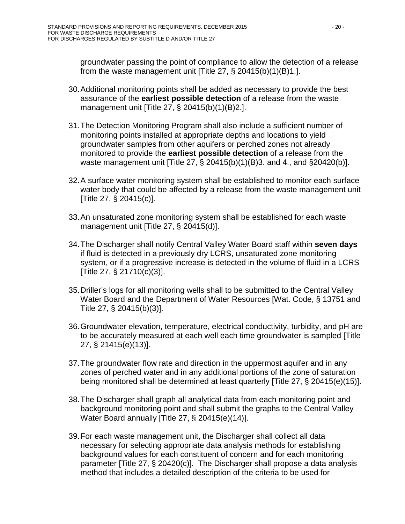groundwater passing the point of compliance to allow the detection of a release from the waste management unit [Title 27,  $\S$  20415(b)(1)(B)1.].

- 30.Additional monitoring points shall be added as necessary to provide the best assurance of the **earliest possible detection** of a release from the waste management unit [Title 27, § 20415(b)(1)(B)2.].
- 31.The Detection Monitoring Program shall also include a sufficient number of monitoring points installed at appropriate depths and locations to yield groundwater samples from other aquifers or perched zones not already monitored to provide the **earliest possible detection** of a release from the waste management unit [Title 27, § 20415(b)(1)(B)3. and 4., and §20420(b)].
- 32.A surface water monitoring system shall be established to monitor each surface water body that could be affected by a release from the waste management unit [Title 27, § 20415(c)].
- 33.An unsaturated zone monitoring system shall be established for each waste management unit [Title 27, § 20415(d)].
- 34.The Discharger shall notify Central Valley Water Board staff within **seven days** if fluid is detected in a previously dry LCRS, unsaturated zone monitoring system, or if a progressive increase is detected in the volume of fluid in a LCRS [Title 27, § 21710(c)(3)].
- 35.Driller's logs for all monitoring wells shall to be submitted to the Central Valley Water Board and the Department of Water Resources [Wat. Code, § 13751 and Title 27, § 20415(b)(3)].
- 36.Groundwater elevation, temperature, electrical conductivity, turbidity, and pH are to be accurately measured at each well each time groundwater is sampled [Title 27, § 21415(e)(13)].
- 37.The groundwater flow rate and direction in the uppermost aquifer and in any zones of perched water and in any additional portions of the zone of saturation being monitored shall be determined at least quarterly [Title 27, § 20415(e)(15)].
- 38.The Discharger shall graph all analytical data from each monitoring point and background monitoring point and shall submit the graphs to the Central Valley Water Board annually [Title 27, § 20415(e)(14)].
- 39.For each waste management unit, the Discharger shall collect all data necessary for selecting appropriate data analysis methods for establishing background values for each constituent of concern and for each monitoring parameter [Title 27, § 20420(c)]. The Discharger shall propose a data analysis method that includes a detailed description of the criteria to be used for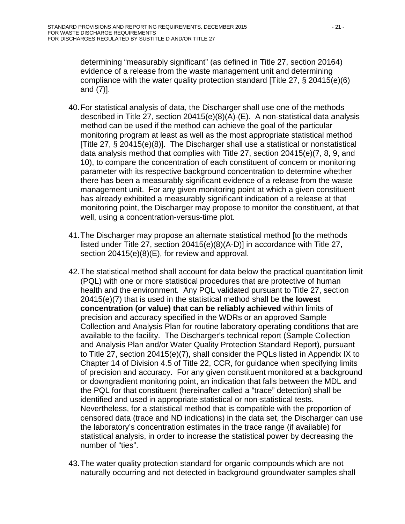determining "measurably significant" (as defined in Title 27, section 20164) evidence of a release from the waste management unit and determining compliance with the water quality protection standard [Title 27, § 20415(e)(6) and (7)].

- 40.For statistical analysis of data, the Discharger shall use one of the methods described in Title 27, section 20415(e)(8)(A)-(E). A non-statistical data analysis method can be used if the method can achieve the goal of the particular monitoring program at least as well as the most appropriate statistical method [Title 27, § 20415(e)(8)]. The Discharger shall use a statistical or nonstatistical data analysis method that complies with Title 27, section 20415(e)(7, 8, 9, and 10), to compare the concentration of each constituent of concern or monitoring parameter with its respective background concentration to determine whether there has been a measurably significant evidence of a release from the waste management unit. For any given monitoring point at which a given constituent has already exhibited a measurably significant indication of a release at that monitoring point, the Discharger may propose to monitor the constituent, at that well, using a concentration-versus-time plot.
- 41.The Discharger may propose an alternate statistical method [to the methods listed under Title 27, section 20415(e)(8)(A-D)] in accordance with Title 27, section 20415(e)(8)(E), for review and approval.
- 42.The statistical method shall account for data below the practical quantitation limit (PQL) with one or more statistical procedures that are protective of human health and the environment. Any PQL validated pursuant to Title 27, section 20415(e)(7) that is used in the statistical method shall be **the lowest concentration (or value) that can be reliably achieved** within limits of precision and accuracy specified in the WDRs or an approved Sample Collection and Analysis Plan for routine laboratory operating conditions that are available to the facility. The Discharger's technical report (Sample Collection and Analysis Plan and/or Water Quality Protection Standard Report), pursuant to Title 27, section 20415(e)(7), shall consider the PQLs listed in Appendix IX to Chapter 14 of Division 4.5 of Title 22, CCR, for guidance when specifying limits of precision and accuracy. For any given constituent monitored at a background or downgradient monitoring point, an indication that falls between the MDL and the PQL for that constituent (hereinafter called a "trace" detection) shall be identified and used in appropriate statistical or non-statistical tests. Nevertheless, for a statistical method that is compatible with the proportion of censored data (trace and ND indications) in the data set, the Discharger can use the laboratory's concentration estimates in the trace range (if available) for statistical analysis, in order to increase the statistical power by decreasing the number of "ties".
- 43.The water quality protection standard for organic compounds which are not naturally occurring and not detected in background groundwater samples shall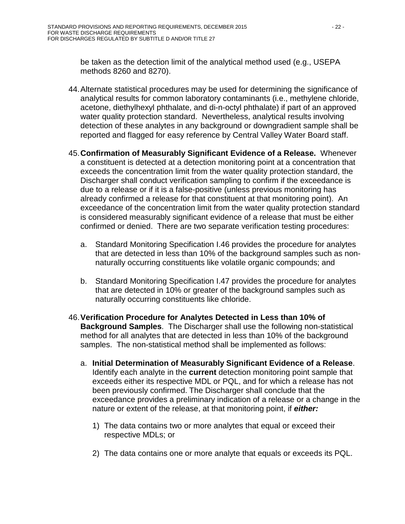be taken as the detection limit of the analytical method used (e.g., USEPA methods 8260 and 8270).

- 44.Alternate statistical procedures may be used for determining the significance of analytical results for common laboratory contaminants (i.e., methylene chloride, acetone, diethylhexyl phthalate, and di-n-octyl phthalate) if part of an approved water quality protection standard. Nevertheless, analytical results involving detection of these analytes in any background or downgradient sample shall be reported and flagged for easy reference by Central Valley Water Board staff.
- 45.**Confirmation of Measurably Significant Evidence of a Release.** Whenever a constituent is detected at a detection monitoring point at a concentration that exceeds the concentration limit from the water quality protection standard, the Discharger shall conduct verification sampling to confirm if the exceedance is due to a release or if it is a false-positive (unless previous monitoring has already confirmed a release for that constituent at that monitoring point). An exceedance of the concentration limit from the water quality protection standard is considered measurably significant evidence of a release that must be either confirmed or denied. There are two separate verification testing procedures:
	- a. Standard Monitoring Specification I[.46](#page-41-0) provides the procedure for analytes that are detected in less than 10% of the background samples such as nonnaturally occurring constituents like volatile organic compounds; and
	- b. Standard Monitoring Specification I[.47](#page-42-0) provides the procedure for analytes that are detected in 10% or greater of the background samples such as naturally occurring constituents like chloride.
- <span id="page-41-0"></span>46.**Verification Procedure for Analytes Detected in Less than 10% of Background Samples**.The Discharger shall use the following non-statistical method for all analytes that are detected in less than 10% of the background samples. The non-statistical method shall be implemented as follows:
	- a. **Initial Determination of Measurably Significant Evidence of a Release**. Identify each analyte in the **current** detection monitoring point sample that exceeds either its respective MDL or PQL, and for which a release has not been previously confirmed. The Discharger shall conclude that the exceedance provides a preliminary indication of a release or a change in the nature or extent of the release, at that monitoring point, if *either:*
		- 1) The data contains two or more analytes that equal or exceed their respective MDLs; or
		- 2) The data contains one or more analyte that equals or exceeds its PQL.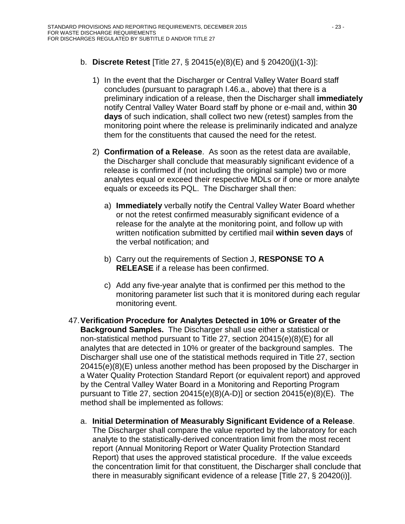# b. **Discrete Retest** [Title 27, § 20415(e)(8)(E) and § 20420(j)(1-3)]:

- 1) In the event that the Discharger or Central Valley Water Board staff concludes (pursuant to paragraph I[.46.](#page-41-0)a., above) that there is a preliminary indication of a release, then the Discharger shall **immediately** notify Central Valley Water Board staff by phone or e-mail and, within **30 days** of such indication, shall collect two new (retest) samples from the monitoring point where the release is preliminarily indicated and analyze them for the constituents that caused the need for the retest.
- 2) **Confirmation of a Release**. As soon as the retest data are available, the Discharger shall conclude that measurably significant evidence of a release is confirmed if (not including the original sample) two or more analytes equal or exceed their respective MDLs or if one or more analyte equals or exceeds its PQL. The Discharger shall then:
	- a) **Immediately** verbally notify the Central Valley Water Board whether or not the retest confirmed measurably significant evidence of a release for the analyte at the monitoring point, and follow up with written notification submitted by certified mail **within seven days** of the verbal notification; and
	- b) Carry out the requirements of Section J, **RESPONSE TO A RELEASE** if a release has been confirmed.
	- c) Add any five-year analyte that is confirmed per this method to the monitoring parameter list such that it is monitored during each regular monitoring event.
- <span id="page-42-0"></span>47.**Verification Procedure for Analytes Detected in 10% or Greater of the Background Samples.** The Discharger shall use either a statistical or non-statistical method pursuant to Title 27, section 20415(e)(8)(E) for all analytes that are detected in 10% or greater of the background samples. The Discharger shall use one of the statistical methods required in Title 27, section 20415(e)(8)(E) unless another method has been proposed by the Discharger in a Water Quality Protection Standard Report (or equivalent report) and approved by the Central Valley Water Board in a Monitoring and Reporting Program pursuant to Title 27, section 20415(e)(8)(A-D)] or section 20415(e)(8)(E). The method shall be implemented as follows:
	- a. **Initial Determination of Measurably Significant Evidence of a Release**. The Discharger shall compare the value reported by the laboratory for each analyte to the statistically-derived concentration limit from the most recent report (Annual Monitoring Report or Water Quality Protection Standard Report) that uses the approved statistical procedure. If the value exceeds the concentration limit for that constituent, the Discharger shall conclude that there in measurably significant evidence of a release [Title 27, § 20420(i)].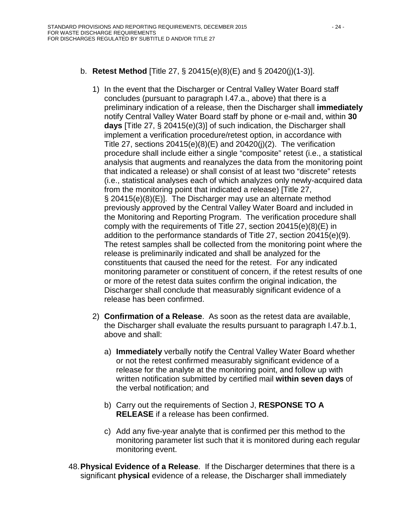# b. **Retest Method** [Title 27, § 20415(e)(8)(E) and § 20420(j)(1-3)].

- 1) In the event that the Discharger or Central Valley Water Board staff concludes (pursuant to paragraph I[.47.](#page-42-0)a., above) that there is a preliminary indication of a release, then the Discharger shall **immediately** notify Central Valley Water Board staff by phone or e-mail and, within **30 days** [Title 27, § 20415(e)(3)] of such indication, the Discharger shall implement a verification procedure/retest option, in accordance with Title 27, sections  $20415(e)(8)(E)$  and  $20420(i)(2)$ . The verification procedure shall include either a single "composite" retest (i.e., a statistical analysis that augments and reanalyzes the data from the monitoring point that indicated a release) or shall consist of at least two "discrete" retests (i.e., statistical analyses each of which analyzes only newly-acquired data from the monitoring point that indicated a release) [Title 27, § 20415(e)(8)(E)]. The Discharger may use an alternate method previously approved by the Central Valley Water Board and included in the Monitoring and Reporting Program. The verification procedure shall comply with the requirements of Title 27, section 20415(e)(8)(E) in addition to the performance standards of Title 27, section 20415(e)(9). The retest samples shall be collected from the monitoring point where the release is preliminarily indicated and shall be analyzed for the constituents that caused the need for the retest. For any indicated monitoring parameter or constituent of concern, if the retest results of one or more of the retest data suites confirm the original indication, the Discharger shall conclude that measurably significant evidence of a release has been confirmed.
- 2) **Confirmation of a Release**. As soon as the retest data are available, the Discharger shall evaluate the results pursuant to paragraph I[.47.](#page-42-0)b.1, above and shall:
	- a) **Immediately** verbally notify the Central Valley Water Board whether or not the retest confirmed measurably significant evidence of a release for the analyte at the monitoring point, and follow up with written notification submitted by certified mail **within seven days** of the verbal notification; and
	- b) Carry out the requirements of Section J, **RESPONSE TO A RELEASE** if a release has been confirmed.
	- c) Add any five-year analyte that is confirmed per this method to the monitoring parameter list such that it is monitored during each regular monitoring event.
- 48.**Physical Evidence of a Release**. If the Discharger determines that there is a significant **physical** evidence of a release, the Discharger shall immediately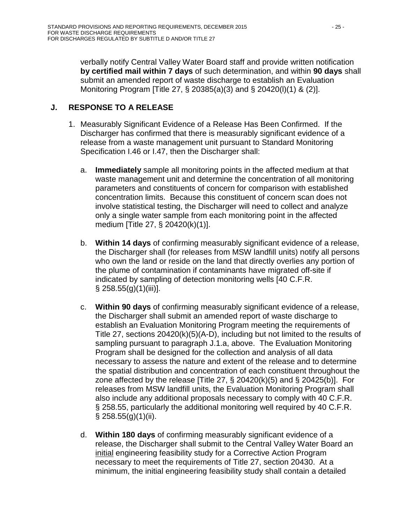verbally notify Central Valley Water Board staff and provide written notification **by certified mail within 7 days** of such determination, and within **90 days** shall submit an amended report of waste discharge to establish an Evaluation Monitoring Program [Title 27, § 20385(a)(3) and § 20420(l)(1) & (2)].

# <span id="page-44-1"></span><span id="page-44-0"></span>**J. RESPONSE TO A RELEASE**

- <span id="page-44-3"></span><span id="page-44-2"></span>1. Measurably Significant Evidence of a Release Has Been Confirmed. If the Discharger has confirmed that there is measurably significant evidence of a release from a waste management unit pursuant to Standard Monitoring Specification I[.46](#page-41-0) or I[.47,](#page-42-0) then the Discharger shall:
	- a. **Immediately** sample all monitoring points in the affected medium at that waste management unit and determine the concentration of all monitoring parameters and constituents of concern for comparison with established concentration limits. Because this constituent of concern scan does not involve statistical testing, the Discharger will need to collect and analyze only a single water sample from each monitoring point in the affected medium [Title 27, § 20420(k)(1)].
	- b. **Within 14 days** of confirming measurably significant evidence of a release, the Discharger shall (for releases from MSW landfill units) notify all persons who own the land or reside on the land that directly overlies any portion of the plume of contamination if contaminants have migrated off-site if indicated by sampling of detection monitoring wells [40 C.F.R.  $§$  258.55(g)(1)(iii)].
	- c. **Within 90 days** of confirming measurably significant evidence of a release, the Discharger shall submit an amended report of waste discharge to establish an Evaluation Monitoring Program meeting the requirements of Title 27, sections 20420(k)(5)(A-D), including but not limited to the results of sampling pursuant to paragraph J[.1](#page-44-1)[.a,](#page-44-2) above. The Evaluation Monitoring Program shall be designed for the collection and analysis of all data necessary to assess the nature and extent of the release and to determine the spatial distribution and concentration of each constituent throughout the zone affected by the release [Title 27,  $\S$  20420(k)(5) and  $\S$  20425(b)]. For releases from MSW landfill units, the Evaluation Monitoring Program shall also include any additional proposals necessary to comply with 40 C.F.R. § 258.55, particularly the additional monitoring well required by 40 C.F.R.  $\S$  258.55(g)(1)(ii).
	- d. **Within 180 days** of confirming measurably significant evidence of a release, the Discharger shall submit to the Central Valley Water Board an initial engineering feasibility study for a Corrective Action Program necessary to meet the requirements of Title 27, section 20430. At a minimum, the initial engineering feasibility study shall contain a detailed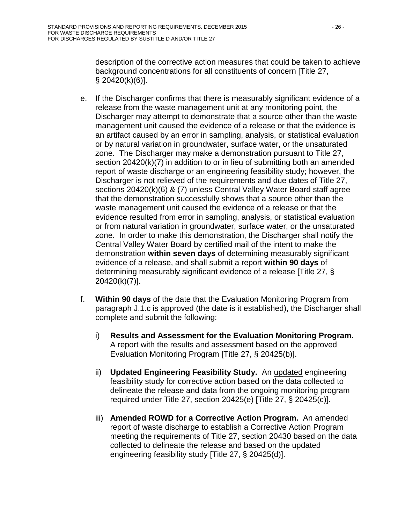description of the corrective action measures that could be taken to achieve background concentrations for all constituents of concern [Title 27, § 20420(k)(6)].

- e. If the Discharger confirms that there is measurably significant evidence of a release from the waste management unit at any monitoring point, the Discharger may attempt to demonstrate that a source other than the waste management unit caused the evidence of a release or that the evidence is an artifact caused by an error in sampling, analysis, or statistical evaluation or by natural variation in groundwater, surface water, or the unsaturated zone. The Discharger may make a demonstration pursuant to Title 27, section 20420(k)(7) in addition to or in lieu of submitting both an amended report of waste discharge or an engineering feasibility study; however, the Discharger is not relieved of the requirements and due dates of Title 27, sections 20420(k)(6) & (7) unless Central Valley Water Board staff agree that the demonstration successfully shows that a source other than the waste management unit caused the evidence of a release or that the evidence resulted from error in sampling, analysis, or statistical evaluation or from natural variation in groundwater, surface water, or the unsaturated zone. In order to make this demonstration, the Discharger shall notify the Central Valley Water Board by certified mail of the intent to make the demonstration **within seven days** of determining measurably significant evidence of a release, and shall submit a report **within 90 days** of determining measurably significant evidence of a release [Title 27, § 20420(k)(7)].
- f. **Within 90 days** of the date that the Evaluation Monitoring Program from paragraph J[.1](#page-44-1)[.c](#page-44-3) is approved (the date is it established), the Discharger shall complete and submit the following:
	- i) **Results and Assessment for the Evaluation Monitoring Program.** A report with the results and assessment based on the approved Evaluation Monitoring Program [Title 27, § 20425(b)].
	- ii) **Updated Engineering Feasibility Study.** An updated engineering feasibility study for corrective action based on the data collected to delineate the release and data from the ongoing monitoring program required under Title 27, section 20425(e) [Title 27, § 20425(c)].
	- iii) **Amended ROWD for a Corrective Action Program.** An amended report of waste discharge to establish a Corrective Action Program meeting the requirements of Title 27, section 20430 based on the data collected to delineate the release and based on the updated engineering feasibility study [Title 27, § 20425(d)].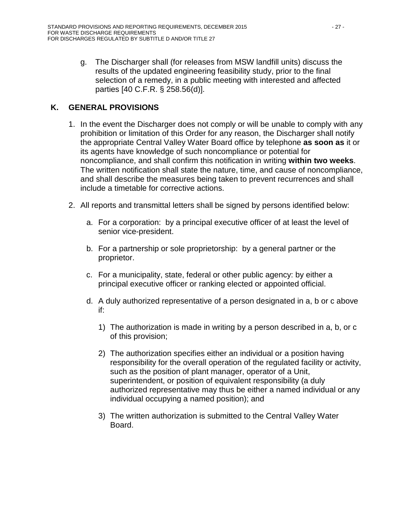g. The Discharger shall (for releases from MSW landfill units) discuss the results of the updated engineering feasibility study, prior to the final selection of a remedy, in a public meeting with interested and affected parties [40 C.F.R. § 258.56(d)].

# <span id="page-46-0"></span>**K. GENERAL PROVISIONS**

- 1. In the event the Discharger does not comply or will be unable to comply with any prohibition or limitation of this Order for any reason, the Discharger shall notify the appropriate Central Valley Water Board office by telephone **as soon as** it or its agents have knowledge of such noncompliance or potential for noncompliance, and shall confirm this notification in writing **within two weeks**. The written notification shall state the nature, time, and cause of noncompliance, and shall describe the measures being taken to prevent recurrences and shall include a timetable for corrective actions.
- <span id="page-46-1"></span>2. All reports and transmittal letters shall be signed by persons identified below:
	- a. For a corporation: by a principal executive officer of at least the level of senior vice-president.
	- b. For a partnership or sole proprietorship: by a general partner or the proprietor.
	- c. For a municipality, state, federal or other public agency: by either a principal executive officer or ranking elected or appointed official.
	- d. A duly authorized representative of a person designated in a, b or c above if:
		- 1) The authorization is made in writing by a person described in a, b, or c of this provision;
		- 2) The authorization specifies either an individual or a position having responsibility for the overall operation of the regulated facility or activity, such as the position of plant manager, operator of a Unit, superintendent, or position of equivalent responsibility (a duly authorized representative may thus be either a named individual or any individual occupying a named position); and
		- 3) The written authorization is submitted to the Central Valley Water Board.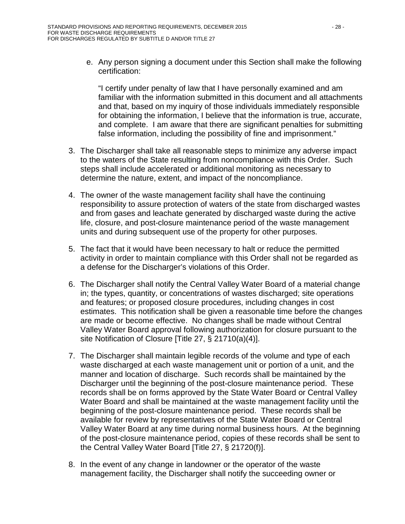e. Any person signing a document under this Section shall make the following certification:

"I certify under penalty of law that I have personally examined and am familiar with the information submitted in this document and all attachments and that, based on my inquiry of those individuals immediately responsible for obtaining the information, I believe that the information is true, accurate, and complete. I am aware that there are significant penalties for submitting false information, including the possibility of fine and imprisonment."

- 3. The Discharger shall take all reasonable steps to minimize any adverse impact to the waters of the State resulting from noncompliance with this Order. Such steps shall include accelerated or additional monitoring as necessary to determine the nature, extent, and impact of the noncompliance.
- 4. The owner of the waste management facility shall have the continuing responsibility to assure protection of waters of the state from discharged wastes and from gases and leachate generated by discharged waste during the active life, closure, and post-closure maintenance period of the waste management units and during subsequent use of the property for other purposes.
- 5. The fact that it would have been necessary to halt or reduce the permitted activity in order to maintain compliance with this Order shall not be regarded as a defense for the Discharger's violations of this Order.
- 6. The Discharger shall notify the Central Valley Water Board of a material change in; the types, quantity, or concentrations of wastes discharged; site operations and features; or proposed closure procedures, including changes in cost estimates. This notification shall be given a reasonable time before the changes are made or become effective. No changes shall be made without Central Valley Water Board approval following authorization for closure pursuant to the site Notification of Closure [Title 27, § 21710(a)(4)].
- 7. The Discharger shall maintain legible records of the volume and type of each waste discharged at each waste management unit or portion of a unit, and the manner and location of discharge. Such records shall be maintained by the Discharger until the beginning of the post-closure maintenance period. These records shall be on forms approved by the State Water Board or Central Valley Water Board and shall be maintained at the waste management facility until the beginning of the post-closure maintenance period. These records shall be available for review by representatives of the State Water Board or Central Valley Water Board at any time during normal business hours. At the beginning of the post-closure maintenance period, copies of these records shall be sent to the Central Valley Water Board [Title 27, § 21720(f)].
- 8. In the event of any change in landowner or the operator of the waste management facility, the Discharger shall notify the succeeding owner or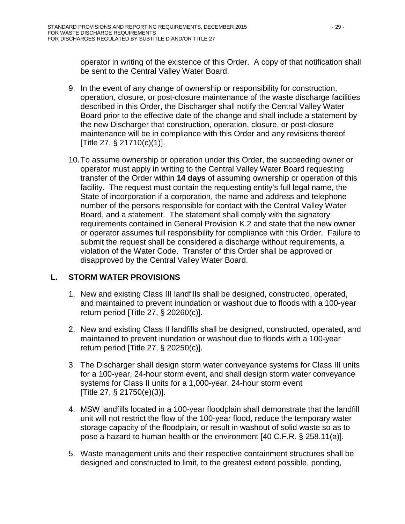operator in writing of the existence of this Order. A copy of that notification shall be sent to the Central Valley Water Board.

- 9. In the event of any change of ownership or responsibility for construction, operation, closure, or post-closure maintenance of the waste discharge facilities described in this Order, the Discharger shall notify the Central Valley Water Board prior to the effective date of the change and shall include a statement by the new Discharger that construction, operation, closure, or post-closure maintenance will be in compliance with this Order and any revisions thereof [Title 27, § 21710(c)(1)].
- 10.To assume ownership or operation under this Order, the succeeding owner or operator must apply in writing to the Central Valley Water Board requesting transfer of the Order within **14 days** of assuming ownership or operation of this facility. The request must contain the requesting entity's full legal name, the State of incorporation if a corporation, the name and address and telephone number of the persons responsible for contact with the Central Valley Water Board, and a statement. The statement shall comply with the signatory requirements contained in General Provision [K](#page-46-0)[.2](#page-46-1) and state that the new owner or operator assumes full responsibility for compliance with this Order. Failure to submit the request shall be considered a discharge without requirements, a violation of the Water Code. Transfer of this Order shall be approved or disapproved by the Central Valley Water Board.

# <span id="page-48-0"></span>**L. STORM WATER PROVISIONS**

- 1. New and existing Class III landfills shall be designed, constructed, operated, and maintained to prevent inundation or washout due to floods with a 100-year return period [Title 27, § 20260(c)].
- 2. New and existing Class II landfills shall be designed, constructed, operated, and maintained to prevent inundation or washout due to floods with a 100-year return period [Title 27, § 20250(c)].
- 3. The Discharger shall design storm water conveyance systems for Class III units for a 100-year, 24-hour storm event, and shall design storm water conveyance systems for Class II units for a 1,000-year, 24-hour storm event [Title 27, § 21750(e)(3)].
- 4. MSW landfills located in a 100-year floodplain shall demonstrate that the landfill unit will not restrict the flow of the 100-year flood, reduce the temporary water storage capacity of the floodplain, or result in washout of solid waste so as to pose a hazard to human health or the environment [40 C.F.R. § 258.11(a)].
- 5. Waste management units and their respective containment structures shall be designed and constructed to limit, to the greatest extent possible, ponding,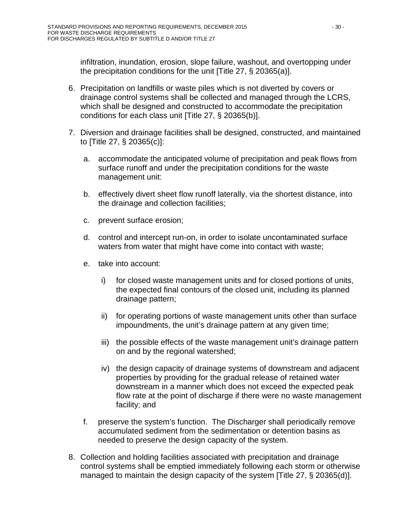infiltration, inundation, erosion, slope failure, washout, and overtopping under the precipitation conditions for the unit [Title 27, § 20365(a)].

- 6. Precipitation on landfills or waste piles which is not diverted by covers or drainage control systems shall be collected and managed through the LCRS, which shall be designed and constructed to accommodate the precipitation conditions for each class unit [Title 27, § 20365(b)].
- 7. Diversion and drainage facilities shall be designed, constructed, and maintained to [Title 27, § 20365(c)]:
	- a. accommodate the anticipated volume of precipitation and peak flows from surface runoff and under the precipitation conditions for the waste management unit:
	- b. effectively divert sheet flow runoff laterally, via the shortest distance, into the drainage and collection facilities;
	- c. prevent surface erosion;
	- d. control and intercept run-on, in order to isolate uncontaminated surface waters from water that might have come into contact with waste;
	- e. take into account:
		- i) for closed waste management units and for closed portions of units, the expected final contours of the closed unit, including its planned drainage pattern;
		- ii) for operating portions of waste management units other than surface impoundments, the unit's drainage pattern at any given time;
		- iii) the possible effects of the waste management unit's drainage pattern on and by the regional watershed;
		- iv) the design capacity of drainage systems of downstream and adjacent properties by providing for the gradual release of retained water downstream in a manner which does not exceed the expected peak flow rate at the point of discharge if there were no waste management facility; and
	- f. preserve the system's function. The Discharger shall periodically remove accumulated sediment from the sedimentation or detention basins as needed to preserve the design capacity of the system.
- 8. Collection and holding facilities associated with precipitation and drainage control systems shall be emptied immediately following each storm or otherwise managed to maintain the design capacity of the system [Title 27, § 20365(d)].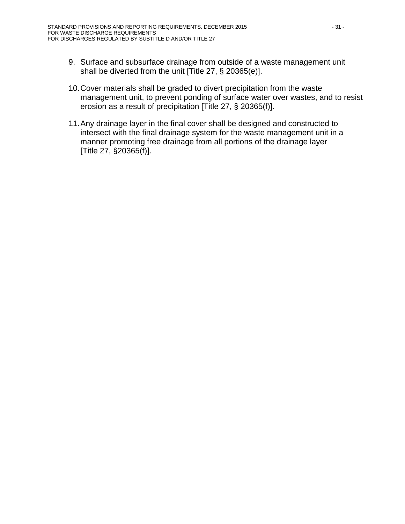- 9. Surface and subsurface drainage from outside of a waste management unit shall be diverted from the unit [Title 27, § 20365(e)].
- 10.Cover materials shall be graded to divert precipitation from the waste management unit, to prevent ponding of surface water over wastes, and to resist erosion as a result of precipitation [Title 27, § 20365(f)].
- 11.Any drainage layer in the final cover shall be designed and constructed to intersect with the final drainage system for the waste management unit in a manner promoting free drainage from all portions of the drainage layer [Title 27, §20365(f)].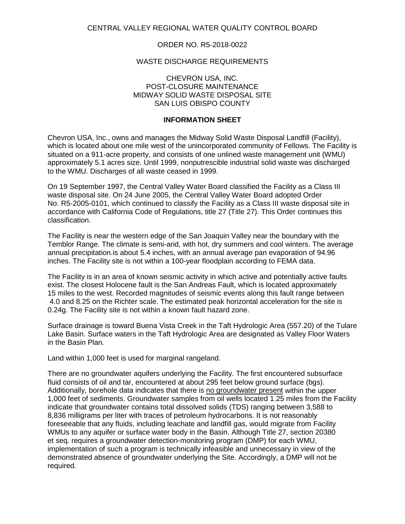### ORDER NO. R5-2018-0022

### WASTE DISCHARGE REQUIREMENTS

#### CHEVRON USA, INC. POST-CLOSURE MAINTENANCE MIDWAY SOLID WASTE DISPOSAL SITE SAN LUIS OBISPO COUNTY

### **INFORMATION SHEET**

Chevron USA, Inc., owns and manages the Midway Solid Waste Disposal Landfill (Facility), which is located about one mile west of the unincorporated community of Fellows. The Facility is situated on a 911-acre property, and consists of one unlined waste management unit (WMU) approximately 5.1 acres size. Until 1999, nonputrescible industrial solid waste was discharged to the WMU. Discharges of all waste ceased in 1999.

On 19 September 1997, the Central Valley Water Board classified the Facility as a Class III waste disposal site. On 24 June 2005, the Central Valley Water Board adopted Order No. R5-2005-0101, which continued to classify the Facility as a Class III waste disposal site in accordance with California Code of Regulations, title 27 (Title 27). This Order continues this classification.

The Facility is near the western edge of the San Joaquin Valley near the boundary with the Temblor Range. The climate is semi-arid, with hot, dry summers and cool winters. The average annual precipitation.is about 5.4 inches, with an annual average pan evaporation of 94.96 inches. The Facility site is not within a 100-year floodplain according to FEMA data.

The Facility is in an area of known seismic activity in which active and potentially active faults exist. The closest Holocene fault is the San Andreas Fault, which is located approximately 15 miles to the west. Recorded magnitudes of seismic events along this fault range between 4.0 and 8.25 on the Richter scale. The estimated peak horizontal acceleration for the site is 0.24g. The Facility site is not within a known fault hazard zone.

Surface drainage is toward Buena Vista Creek in the Taft Hydrologic Area (557.20) of the Tulare Lake Basin. Surface waters in the Taft Hydrologic Area are designated as Valley Floor Waters in the Basin Plan.

Land within 1,000 feet is used for marginal rangeland.

There are no groundwater aquifers underlying the Facility. The first encountered subsurface fluid consists of oil and tar, encountered at about 295 feet below ground surface (bgs). Additionally, borehole data indicates that there is no groundwater present within the upper 1,000 feet of sediments. Groundwater samples from oil wells located 1.25 miles from the Facility indicate that groundwater contains total dissolved solids (TDS) ranging between 3,588 to 8,836 milligrams per liter with traces of petroleum hydrocarbons. It is not reasonably foreseeable that any fluids, including leachate and landfill gas, would migrate from Facility WMUs to any aquifer or surface water body in the Basin. Although Title 27, section 20380 et seq. requires a groundwater detection-monitoring program (DMP) for each WMU, implementation of such a program is technically infeasible and unnecessary in view of the demonstrated absence of groundwater underlying the Site. Accordingly, a DMP will not be required.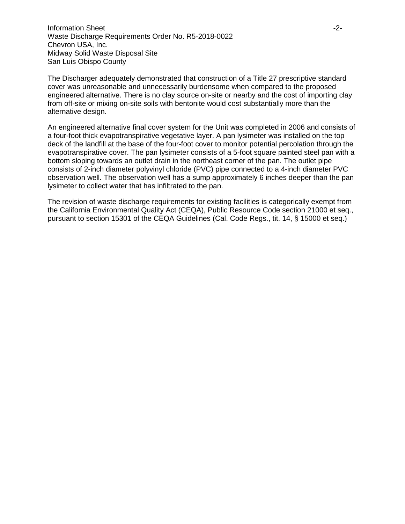**Information Sheet** -2-Waste Discharge Requirements Order No. R5-2018-0022 Chevron USA, Inc. Midway Solid Waste Disposal Site San Luis Obispo County

The Discharger adequately demonstrated that construction of a Title 27 prescriptive standard cover was unreasonable and unnecessarily burdensome when compared to the proposed engineered alternative. There is no clay source on-site or nearby and the cost of importing clay from off-site or mixing on-site soils with bentonite would cost substantially more than the alternative design.

An engineered alternative final cover system for the Unit was completed in 2006 and consists of a four-foot thick evapotranspirative vegetative layer. A pan lysimeter was installed on the top deck of the landfill at the base of the four-foot cover to monitor potential percolation through the evapotranspirative cover. The pan lysimeter consists of a 5-foot square painted steel pan with a bottom sloping towards an outlet drain in the northeast corner of the pan. The outlet pipe consists of 2-inch diameter polyvinyl chloride (PVC) pipe connected to a 4-inch diameter PVC observation well. The observation well has a sump approximately 6 inches deeper than the pan lysimeter to collect water that has infiltrated to the pan.

The revision of waste discharge requirements for existing facilities is categorically exempt from the California Environmental Quality Act (CEQA), Public Resource Code section 21000 et seq., pursuant to section 15301 of the CEQA Guidelines (Cal. Code Regs., tit. 14, § 15000 et seq.)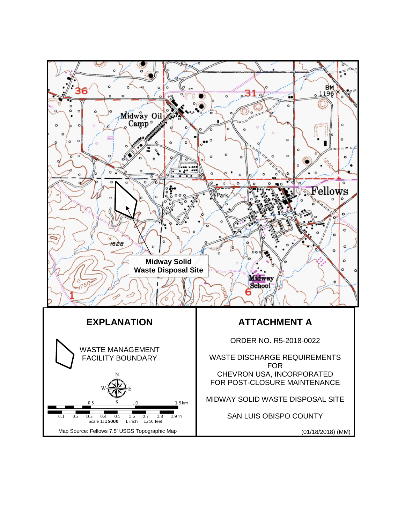